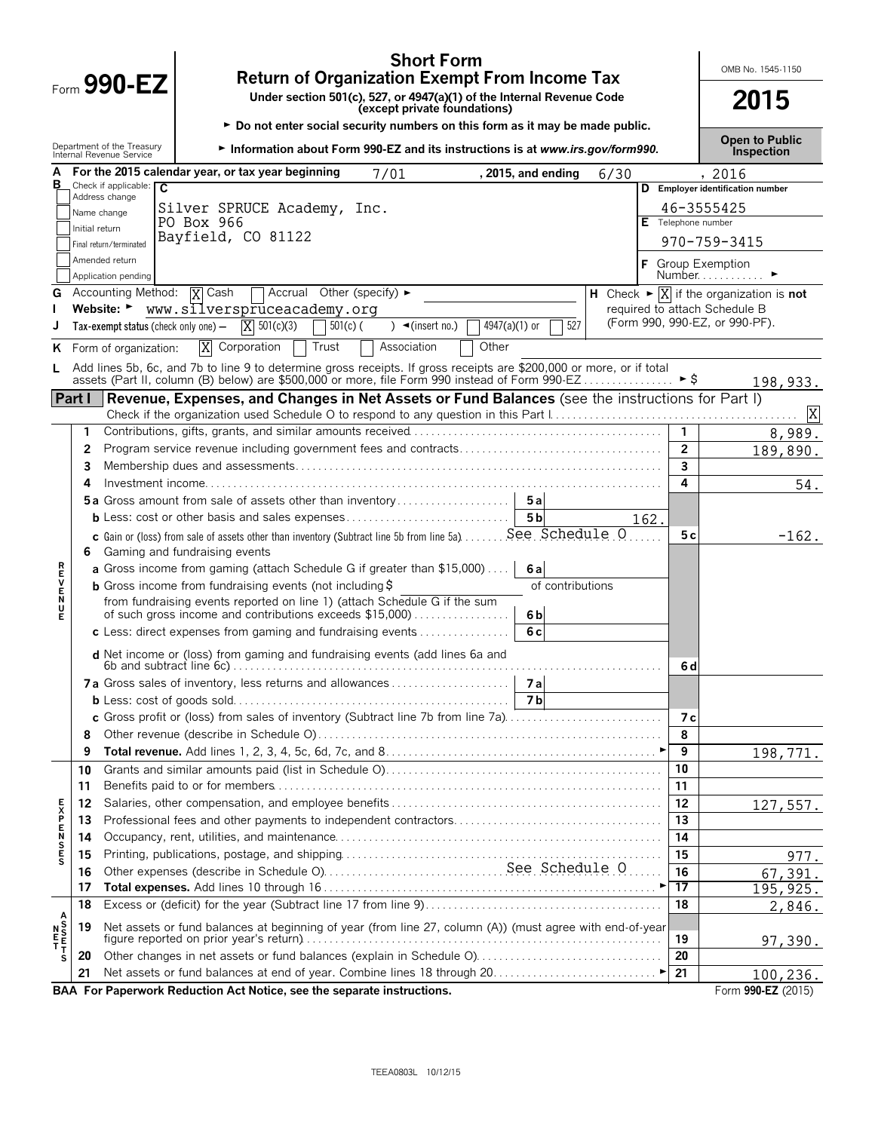|         |                | <b>Short Form</b><br><b>Return of Organization Exempt From Income Tax</b>                                                                      |                     | OMB No. 1545-1150                                                                         |
|---------|----------------|------------------------------------------------------------------------------------------------------------------------------------------------|---------------------|-------------------------------------------------------------------------------------------|
|         |                | $F_{\text{form}}$ 990-EZ<br>Under section 501(c), 527, or 4947(a)(1) of the Internal Revenue Code<br>(except private foundations)              |                     | 2015                                                                                      |
|         |                | Do not enter social security numbers on this form as it may be made public.                                                                    |                     | <b>Open to Public</b>                                                                     |
|         |                | Department of the Treasury<br>Internal Revenue Service<br>Information about Form 990-EZ and its instructions is at www.irs.gov/form990.        |                     | <b>Inspection</b>                                                                         |
| А       |                | For the 2015 calendar year, or tax year beginning<br>7/01<br>, 2015, and ending<br>6/30                                                        |                     | , 2016                                                                                    |
| в       |                | Check if applicable: $\overline{C}$<br>Address change                                                                                          |                     | D Employer identification number                                                          |
|         |                | Silver SPRUCE Academy, Inc.<br>Name change                                                                                                     |                     | 46-3555425                                                                                |
|         | Initial return | PO Box 966<br>Bayfield, CO 81122                                                                                                               | Telephone number    |                                                                                           |
|         |                | Final return/terminated                                                                                                                        |                     | 970-759-3415                                                                              |
|         |                | Amended return<br>Application pending                                                                                                          |                     | F Group Exemption<br>Number                                                               |
|         |                | <b>T</b> Accrual Other (specify) ►<br><b>G</b> Accounting Method:<br><b>X</b> Cash                                                             |                     | $\overline{H}$ Check $\blacktriangleright \overline{X}$ if the organization is <b>not</b> |
|         |                | Website: Www.silverspruceacademy.org                                                                                                           |                     | required to attach Schedule B                                                             |
|         |                | 527<br>$X = 501(c)(3)$<br>$4947(a)(1)$ or<br>Tax-exempt status (check only one) $-$<br>$501(c)$ (<br>$\rightarrow$ (insert no.)                |                     | (Form 990, 990-EZ, or 990-PF).                                                            |
| ĸ.      |                | X Corporation<br>Trust<br>Other<br>Association<br>Form of organization:                                                                        |                     |                                                                                           |
| L.      |                | Add lines 5b, 6c, and 7b to line 9 to determine gross receipts. If gross receipts are \$200,000 or more, or if total                           |                     |                                                                                           |
|         |                | assets (Part II, column (B) below) are \$500,000 or more, file Form 990 instead of Form 990 EZ  ▶ \$                                           |                     | 198,933.                                                                                  |
|         | Part I         | Revenue, Expenses, and Changes in Net Assets or Fund Balances (see the instructions for Part I)                                                |                     |                                                                                           |
|         |                |                                                                                                                                                |                     | X                                                                                         |
|         | 1              |                                                                                                                                                | $\mathbf{1}$        | 8,989.                                                                                    |
|         | 2<br>3         |                                                                                                                                                | $\overline{2}$<br>3 | 189,890.                                                                                  |
|         | 4              |                                                                                                                                                | 4                   |                                                                                           |
|         |                | 5a Gross amount from sale of assets other than inventory<br>5a                                                                                 |                     | 54.                                                                                       |
|         |                | 5 <sub>b</sub><br>162.                                                                                                                         |                     |                                                                                           |
|         | 6              | c Gain or (loss) from sale of assets other than inventory (Subtract line 5b from line 5a)  See Schedule 0<br>Gaming and fundraising events     | 5с                  | $-162.$                                                                                   |
|         |                | <b>a</b> Gross income from gaming (attach Schedule G if greater than $$15,000$ )<br>6а                                                         |                     |                                                                                           |
|         |                | <b>b</b> Gross income from fundraising events (not including $\ddot{\theta}$<br>of contributions                                               |                     |                                                                                           |
| ロマドヘアス  |                | from fundraising events reported on line 1) (attach Schedule G if the sum                                                                      |                     |                                                                                           |
| Е       |                | of such gross income and contributions exceeds \$15,000)<br>6 <sub>b</sub><br>c Less: direct expenses from gaming and fundraising events<br>6c |                     |                                                                                           |
|         |                |                                                                                                                                                |                     |                                                                                           |
|         |                | d Net income or (loss) from gaming and fundraising events (add lines 6a and                                                                    | 6 d                 |                                                                                           |
|         |                | <b>7a</b> Gross sales of inventory, less returns and allowances<br>7а                                                                          |                     |                                                                                           |
|         |                | <b>7b</b>                                                                                                                                      |                     |                                                                                           |
|         |                | c Gross profit or (loss) from sales of inventory (Subtract line 7b from line 7a).                                                              | 7 с                 |                                                                                           |
|         | 8              |                                                                                                                                                | 8                   |                                                                                           |
|         | 9              |                                                                                                                                                | 9<br>10             | 198,771.                                                                                  |
|         | 10<br>11       |                                                                                                                                                | 11                  |                                                                                           |
|         | 12             |                                                                                                                                                | 12                  | 127,557.                                                                                  |
|         | 13             |                                                                                                                                                | 13                  |                                                                                           |
| のFSMFXF | 14             |                                                                                                                                                | 14                  |                                                                                           |
|         | 15             |                                                                                                                                                | 15                  | 977.                                                                                      |
|         | 16             |                                                                                                                                                | 16                  | 67,391.                                                                                   |
|         | 17             |                                                                                                                                                | 17                  | 195, 925.                                                                                 |
|         | 18             |                                                                                                                                                | 18                  | 2,846.                                                                                    |
|         | 19             | Net assets or fund balances at beginning of year (from line 27, column (A)) (must agree with end-of-year                                       |                     |                                                                                           |
|         |                |                                                                                                                                                | 19                  | <u>97,390.</u>                                                                            |
| s       | 20             | Other changes in net assets or fund balances (explain in Schedule O)                                                                           | 20                  |                                                                                           |
|         | 21             | ▸∣                                                                                                                                             | 21                  | 100,236.                                                                                  |
|         |                | BAA For Paperwork Reduction Act Notice, see the separate instructions.                                                                         |                     | Form 990-EZ (2015)                                                                        |

TEEA0803L 10/12/15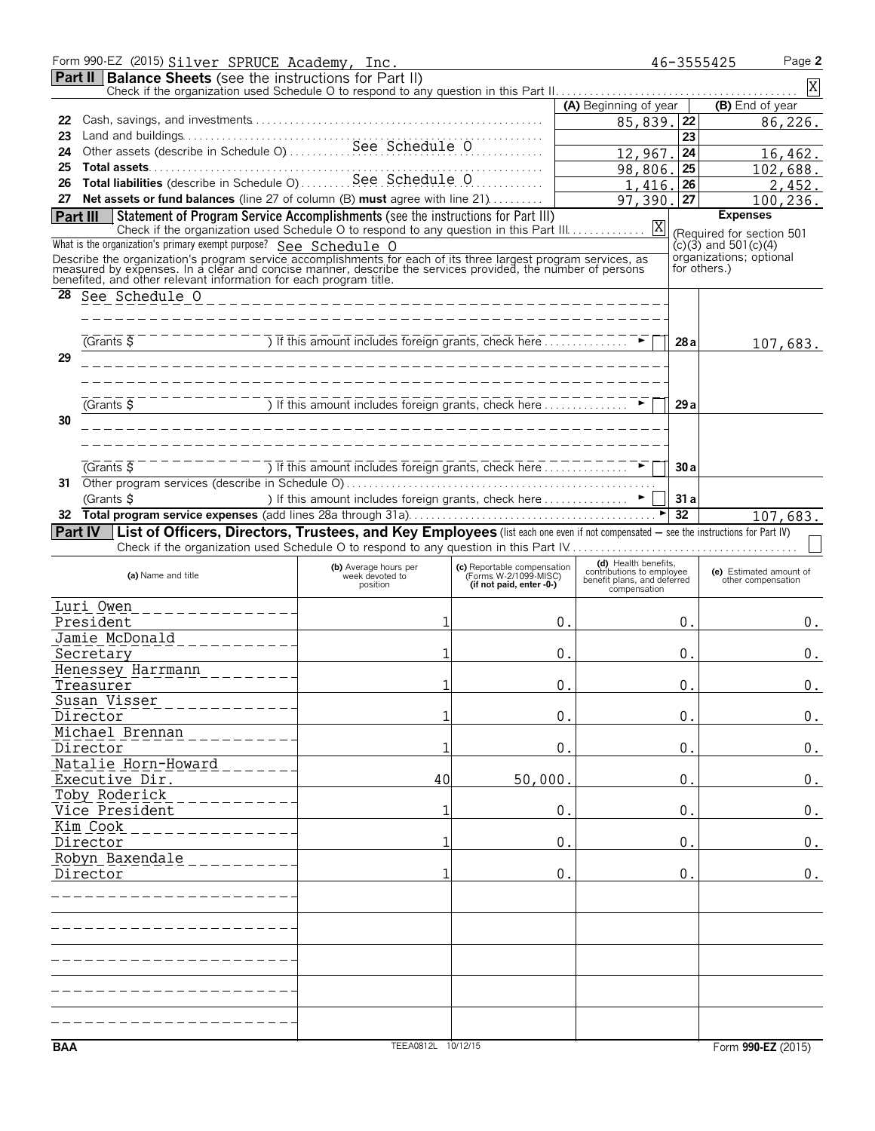|                 | Form 990-EZ (2015) Silver SPRUCE Academy, Inc.                                                                                                                                                                               |                                                                                                                                                                            |                                                      |                                                                                  | 46-3555425      | Page 2                                        |
|-----------------|------------------------------------------------------------------------------------------------------------------------------------------------------------------------------------------------------------------------------|----------------------------------------------------------------------------------------------------------------------------------------------------------------------------|------------------------------------------------------|----------------------------------------------------------------------------------|-----------------|-----------------------------------------------|
|                 | <b>Part II   Balance Sheets</b> (see the instructions for Part II)                                                                                                                                                           |                                                                                                                                                                            |                                                      |                                                                                  |                 | X                                             |
|                 |                                                                                                                                                                                                                              |                                                                                                                                                                            |                                                      | (A) Beginning of year                                                            |                 | (B) End of year                               |
| 22              |                                                                                                                                                                                                                              |                                                                                                                                                                            |                                                      | 85,839.                                                                          | 22              | 86,226.                                       |
| 23              |                                                                                                                                                                                                                              |                                                                                                                                                                            |                                                      |                                                                                  | 23              |                                               |
| 24              |                                                                                                                                                                                                                              |                                                                                                                                                                            |                                                      | 12,967.                                                                          | 24              | 16,462.                                       |
| 25              | Total liabilities (describe in Schedule O)  See Schedule O                                                                                                                                                                   |                                                                                                                                                                            |                                                      | 98,806.                                                                          | 25              | 102,688.                                      |
| 26              | 27 Net assets or fund balances (line 27 of column (B) must agree with line 21)                                                                                                                                               |                                                                                                                                                                            | .                                                    | 1,416.                                                                           | 26              | 2,452.                                        |
| <b>Part III</b> | Statement of Program Service Accomplishments (see the instructions for Part III)                                                                                                                                             |                                                                                                                                                                            |                                                      | 97,390.                                                                          | 27              | 100,236.<br><b>Expenses</b>                   |
|                 |                                                                                                                                                                                                                              |                                                                                                                                                                            |                                                      |                                                                                  |                 | (Required for section 501                     |
|                 | What is the organization's primary exempt purpose? See Schedule O                                                                                                                                                            |                                                                                                                                                                            |                                                      |                                                                                  |                 | $(c)(3)$ and 501 $(c)(4)$                     |
|                 | Describe the organization's program service accomplishments for each of its three largest program services, as<br>measured by expenses. In a clear and concise manner, describe the services provided, the number of persons |                                                                                                                                                                            |                                                      |                                                                                  | for others.)    | organizations; optional                       |
|                 | benefited, and other relevant information for each program title.                                                                                                                                                            |                                                                                                                                                                            |                                                      |                                                                                  |                 |                                               |
| 28              |                                                                                                                                                                                                                              |                                                                                                                                                                            |                                                      |                                                                                  |                 |                                               |
|                 |                                                                                                                                                                                                                              |                                                                                                                                                                            |                                                      |                                                                                  |                 |                                               |
|                 | (Grants 5)                                                                                                                                                                                                                   | $------$ ) If this amount includes foreign grants, check here $\therefore$ $\therefore$ $\therefore$ $\therefore$ $\triangleright$                                         |                                                      |                                                                                  | 28a             | 107,683.                                      |
| 29              |                                                                                                                                                                                                                              |                                                                                                                                                                            |                                                      |                                                                                  |                 |                                               |
|                 |                                                                                                                                                                                                                              |                                                                                                                                                                            |                                                      |                                                                                  |                 |                                               |
|                 |                                                                                                                                                                                                                              |                                                                                                                                                                            |                                                      |                                                                                  |                 |                                               |
|                 | $(Grants \overline{S})$                                                                                                                                                                                                      | $\overline{a}$ of this amount includes foreign grants, check here $\overline{a}$                                                                                           |                                                      |                                                                                  | 29a             |                                               |
| 30              |                                                                                                                                                                                                                              |                                                                                                                                                                            |                                                      |                                                                                  |                 |                                               |
|                 |                                                                                                                                                                                                                              |                                                                                                                                                                            |                                                      |                                                                                  |                 |                                               |
|                 | $\overline{G}$ Cants $\overline{S}$                                                                                                                                                                                          | $\overline{1}$ Tf this amount includes foreign grants, check here $\overline{1}$ $\overline{1}$ $\overline{1}$ $\overline{1}$ $\overline{1}$ $\overline{2}$ $\overline{3}$ |                                                      |                                                                                  | 30a             |                                               |
| 31              |                                                                                                                                                                                                                              |                                                                                                                                                                            |                                                      |                                                                                  |                 |                                               |
|                 | (Grants \$                                                                                                                                                                                                                   | ) If this amount includes foreign grants, check here  ►                                                                                                                    |                                                      |                                                                                  | 31a             |                                               |
| 32              |                                                                                                                                                                                                                              |                                                                                                                                                                            |                                                      |                                                                                  | $\overline{32}$ | 107,683.                                      |
|                 | Part IV List of Officers, Directors, Trustees, and Key Employees (list each one even if not compensated - see the instructions for Part IV)                                                                                  |                                                                                                                                                                            |                                                      |                                                                                  |                 |                                               |
|                 |                                                                                                                                                                                                                              |                                                                                                                                                                            |                                                      |                                                                                  |                 |                                               |
|                 | (a) Name and title                                                                                                                                                                                                           | (b) Average hours per<br>week devoted to                                                                                                                                   | (c) Reportable compensation<br>(Forms W-2/1099-MISC) | (d) Health benefits.<br>contributions to employee<br>benefit plans, and deferred |                 | (e) Estimated amount of<br>other compensation |
|                 |                                                                                                                                                                                                                              | position                                                                                                                                                                   | (if not paid, enter -0-)                             | compensation                                                                     |                 |                                               |
|                 | <u>Luri Owen</u><br>_ _ _ _ _ _ _ _ _ _ _ _ _ _                                                                                                                                                                              |                                                                                                                                                                            |                                                      |                                                                                  |                 |                                               |
|                 | President                                                                                                                                                                                                                    | 1                                                                                                                                                                          |                                                      | 0.                                                                               | 0.              | 0.                                            |
|                 | Jamie McDonald<br>_________.                                                                                                                                                                                                 | 1                                                                                                                                                                          |                                                      |                                                                                  |                 |                                               |
|                 | Secretary<br>Henessey Harrmann                                                                                                                                                                                               |                                                                                                                                                                            |                                                      | 0.                                                                               | 0.              | 0.                                            |
|                 | Treasurer                                                                                                                                                                                                                    | $\mathbf{1}$                                                                                                                                                               |                                                      | 0                                                                                | $\mathbf{0}$    | 0.                                            |
|                 | Susan Visser                                                                                                                                                                                                                 |                                                                                                                                                                            |                                                      |                                                                                  |                 |                                               |
|                 | Director                                                                                                                                                                                                                     | 1                                                                                                                                                                          |                                                      | $\Omega$ .                                                                       | 0.              | 0.                                            |
|                 | Michael Brennan                                                                                                                                                                                                              |                                                                                                                                                                            |                                                      |                                                                                  |                 |                                               |
|                 | Director                                                                                                                                                                                                                     | 1                                                                                                                                                                          |                                                      | 0.                                                                               | 0.              | 0.                                            |
|                 | Natalie Horn-Howard<br>Executive Dir.                                                                                                                                                                                        | 40                                                                                                                                                                         | 50,000.                                              |                                                                                  | 0.              | 0.                                            |
|                 | Toby Roderick                                                                                                                                                                                                                |                                                                                                                                                                            |                                                      |                                                                                  |                 |                                               |
|                 | Vice President                                                                                                                                                                                                               | 1                                                                                                                                                                          |                                                      | $\mathbf 0$ .                                                                    | 0.              | 0.                                            |
|                 | Kim Cook                                                                                                                                                                                                                     |                                                                                                                                                                            |                                                      |                                                                                  |                 |                                               |
|                 | Director                                                                                                                                                                                                                     | 1                                                                                                                                                                          |                                                      | 0.                                                                               | 0.              | 0.                                            |
|                 | Robyn Baxendale                                                                                                                                                                                                              |                                                                                                                                                                            |                                                      |                                                                                  |                 |                                               |
|                 | Director                                                                                                                                                                                                                     | 1                                                                                                                                                                          |                                                      | 0.                                                                               | 0.              | 0.                                            |
|                 |                                                                                                                                                                                                                              |                                                                                                                                                                            |                                                      |                                                                                  |                 |                                               |
|                 |                                                                                                                                                                                                                              |                                                                                                                                                                            |                                                      |                                                                                  |                 |                                               |
|                 |                                                                                                                                                                                                                              |                                                                                                                                                                            |                                                      |                                                                                  |                 |                                               |
|                 |                                                                                                                                                                                                                              |                                                                                                                                                                            |                                                      |                                                                                  |                 |                                               |
|                 |                                                                                                                                                                                                                              |                                                                                                                                                                            |                                                      |                                                                                  |                 |                                               |
|                 |                                                                                                                                                                                                                              |                                                                                                                                                                            |                                                      |                                                                                  |                 |                                               |
|                 |                                                                                                                                                                                                                              |                                                                                                                                                                            |                                                      |                                                                                  |                 |                                               |
|                 |                                                                                                                                                                                                                              |                                                                                                                                                                            |                                                      |                                                                                  |                 |                                               |
| <b>BAA</b>      |                                                                                                                                                                                                                              | TEEA0812L 10/12/15                                                                                                                                                         |                                                      |                                                                                  |                 | Form 990-EZ (2015)                            |
|                 |                                                                                                                                                                                                                              |                                                                                                                                                                            |                                                      |                                                                                  |                 |                                               |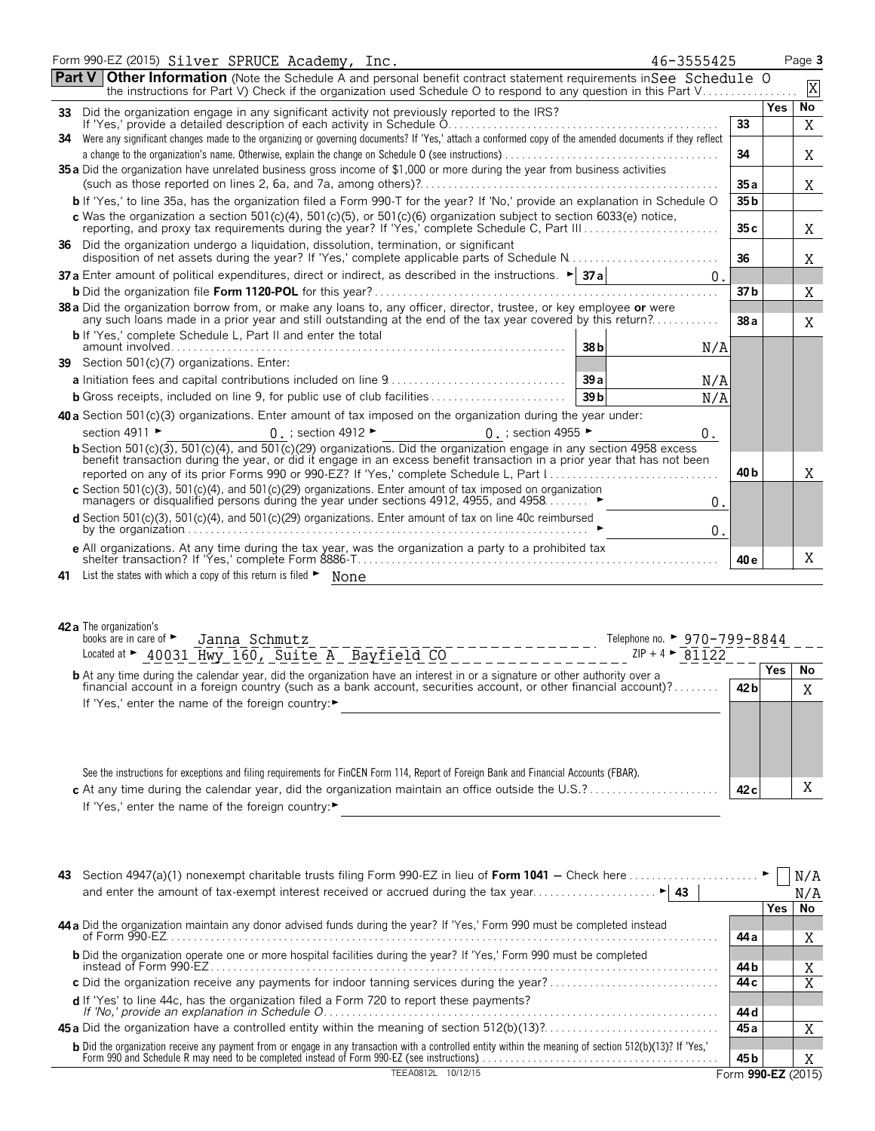| Form 990-EZ (2015) Silver SPRUCE Academy, Inc.<br>46-3555425                                                                                                                                                                                                                                                                                                                                   |                 |            | Page 3      |
|------------------------------------------------------------------------------------------------------------------------------------------------------------------------------------------------------------------------------------------------------------------------------------------------------------------------------------------------------------------------------------------------|-----------------|------------|-------------|
| <b>Part V Other Information</b> (Note the Schedule A and personal benefit contract statement requirements in See Schedule O<br>the instructions for Part V) Check if the organization used Schedule O to respond to any question in this Part V                                                                                                                                                |                 |            | $\mathbf X$ |
|                                                                                                                                                                                                                                                                                                                                                                                                |                 | Yes        | No          |
| 34 Were any significant changes made to the organizing or governing documents? If 'Yes,' attach a conformed copy of the amended documents if they reflect                                                                                                                                                                                                                                      | 33              |            | X           |
| 35 a Did the organization have unrelated business gross income of \$1,000 or more during the year from business activities                                                                                                                                                                                                                                                                     | 34              |            | X           |
|                                                                                                                                                                                                                                                                                                                                                                                                | 35a             |            | X           |
| b If 'Yes,' to line 35a, has the organization filed a Form 990-T for the year? If 'No,' provide an explanation in Schedule O                                                                                                                                                                                                                                                                   | 35 <sub>b</sub> |            |             |
| c Was the organization a section 501(c)(4), 501(c)(5), or 501(c)(6) organization subject to section 6033(e) notice,                                                                                                                                                                                                                                                                            | 35c             |            | Χ           |
| 36 Did the organization undergo a liquidation, dissolution, termination, or significant                                                                                                                                                                                                                                                                                                        | 36              |            | Χ           |
| <b>37 a</b> Enter amount of political expenditures, direct or indirect, as described in the instructions. $\blacktriangleright$ <b>37 a</b><br>0.                                                                                                                                                                                                                                              |                 |            |             |
|                                                                                                                                                                                                                                                                                                                                                                                                | 37 <sub>b</sub> |            | Χ           |
| 38 a Did the organization borrow from, or make any loans to, any officer, director, trustee, or key employee or were<br>any such loans made in a prior year and still outstanding at the end of the tax year covered by this return?                                                                                                                                                           | 38a             |            | X           |
| <b>b</b> If 'Yes,' complete Schedule L, Part II and enter the total<br>$\frac{1}{2}$ and $\frac{1}{2}$ and $\frac{1}{2}$ and $\frac{1}{2}$ and $\frac{1}{2}$ and $\frac{1}{2}$ and $\frac{1}{2}$ and $\frac{1}{2}$ and $\frac{1}{2}$ and $\frac{1}{2}$ and $\frac{1}{2}$ and $\frac{1}{2}$ and $\frac{1}{2}$ and $\frac{1}{2}$ and $\frac{1}{2}$ and $\frac{1}{2}$ a<br>38 <sub>b</sub><br>N/A |                 |            |             |
| 39 Section 501(c)(7) organizations. Enter:                                                                                                                                                                                                                                                                                                                                                     |                 |            |             |
| 39a<br>N/A                                                                                                                                                                                                                                                                                                                                                                                     |                 |            |             |
| 39 <sub>b</sub><br><b>b</b> Gross receipts, included on line 9, for public use of club facilities<br>N/A                                                                                                                                                                                                                                                                                       |                 |            |             |
| 40 a Section 501(c)(3) organizations. Enter amount of tax imposed on the organization during the year under:                                                                                                                                                                                                                                                                                   |                 |            |             |
| section 4911 ►<br>$0:$ section 4912 $\blacktriangleright$<br>0. ; section 4955 $\blacktriangleright$<br>0.                                                                                                                                                                                                                                                                                     |                 |            |             |
| <b>b</b> Section 501(c)(3), 501(c)(4), and 501(c)(29) organizations. Did the organization engage in any section 4958 excess                                                                                                                                                                                                                                                                    |                 |            |             |
| benefit transaction during the year, or did it engage in an excess benefit transaction in a prior year that has not been                                                                                                                                                                                                                                                                       |                 |            |             |
|                                                                                                                                                                                                                                                                                                                                                                                                | 40 <sub>b</sub> |            | Χ           |
| c Section 501(c)(3), 501(c)(4), and 501(c)(29) organizations. Enter amount of tax imposed on organization<br>managers or disqualified persons during the year under sections 4912, 4955, and 4958.<br>0.                                                                                                                                                                                       |                 |            |             |
| d Section 501(c)(3), 501(c)(4), and 501(c)(29) organizations. Enter amount of tax on line 40c reimbursed<br>by the organization $\ldots$ $\ldots$ $\ldots$ $\ldots$ $\ldots$ $\ldots$ $\ldots$ $\ldots$ $\ldots$ $\ldots$ $\ldots$ $\ldots$ $\ldots$ $\ldots$<br>0.                                                                                                                            |                 |            |             |
| e All organizations. At any time during the tax year, was the organization a party to a prohibited tax                                                                                                                                                                                                                                                                                         | 40 e            |            | Χ           |
| 41 List the states with which a copy of this return is filed • None                                                                                                                                                                                                                                                                                                                            |                 |            |             |
| 42 a The organization's<br>books are in care of $\blacktriangleright$<br>Telephone no. ► 970-799-8844<br>Janna Schmutz<br>Located at > 40031 Hwy 160, Suite A Bayfield CO<br>ZIP + 4 $\triangleright$ 81122                                                                                                                                                                                    |                 |            |             |
|                                                                                                                                                                                                                                                                                                                                                                                                |                 | <b>Yes</b> | No          |
| <b>b</b> At any time during the calendar year, did the organization have an interest in or a signature or other authority over a financial account in a foreign country (such as a bank account, securities account, or other finan                                                                                                                                                            | 42 b            |            | Χ           |
| If 'Yes,' enter the name of the foreign country:▶                                                                                                                                                                                                                                                                                                                                              |                 |            |             |
|                                                                                                                                                                                                                                                                                                                                                                                                |                 |            |             |

| See the instructions for exceptions and filing requirements for FinCEN Form 114, Report of Foreign Bank and Financial Accounts (FBAR). |      |
|----------------------------------------------------------------------------------------------------------------------------------------|------|
|                                                                                                                                        | 42 c |
| If 'Yes,' enter the name of the foreign country:▶                                                                                      |      |

| 43 Section 4947(a)(1) nonexempt charitable trusts filing Form 990-EZ in lieu of Form 1041 – Check here                                                                                                                                 |                    |      |     |
|----------------------------------------------------------------------------------------------------------------------------------------------------------------------------------------------------------------------------------------|--------------------|------|-----|
|                                                                                                                                                                                                                                        |                    |      | N/A |
|                                                                                                                                                                                                                                        |                    | Yes. | No  |
| 44 a Did the organization maintain any donor advised funds during the year? If 'Yes,' Form 990 must be completed instead                                                                                                               | 44 a               |      | X   |
| <b>b</b> Did the organization operate one or more hospital facilities during the year? If 'Yes,' Form 990 must be completed<br>instead of Form 990-EZ.                                                                                 | 44 b               |      |     |
|                                                                                                                                                                                                                                        | 44 c               |      |     |
| <b>d</b> If 'Yes' to line 44c, has the organization filed a Form 720 to report these payments?                                                                                                                                         | 44 d               |      |     |
|                                                                                                                                                                                                                                        | 45 a               |      |     |
| <b>b</b> Did the organization receive any payment from or engage in any transaction with a controlled entity within the meaning of section 512(b)(13)? If 'Yes,'<br>Form 990 and Schedule R may need to be completed instead of Form 9 | 45 b               |      |     |
| TFFA0812L<br>10/12/15                                                                                                                                                                                                                  | Form 990-EZ (2015) |      |     |

X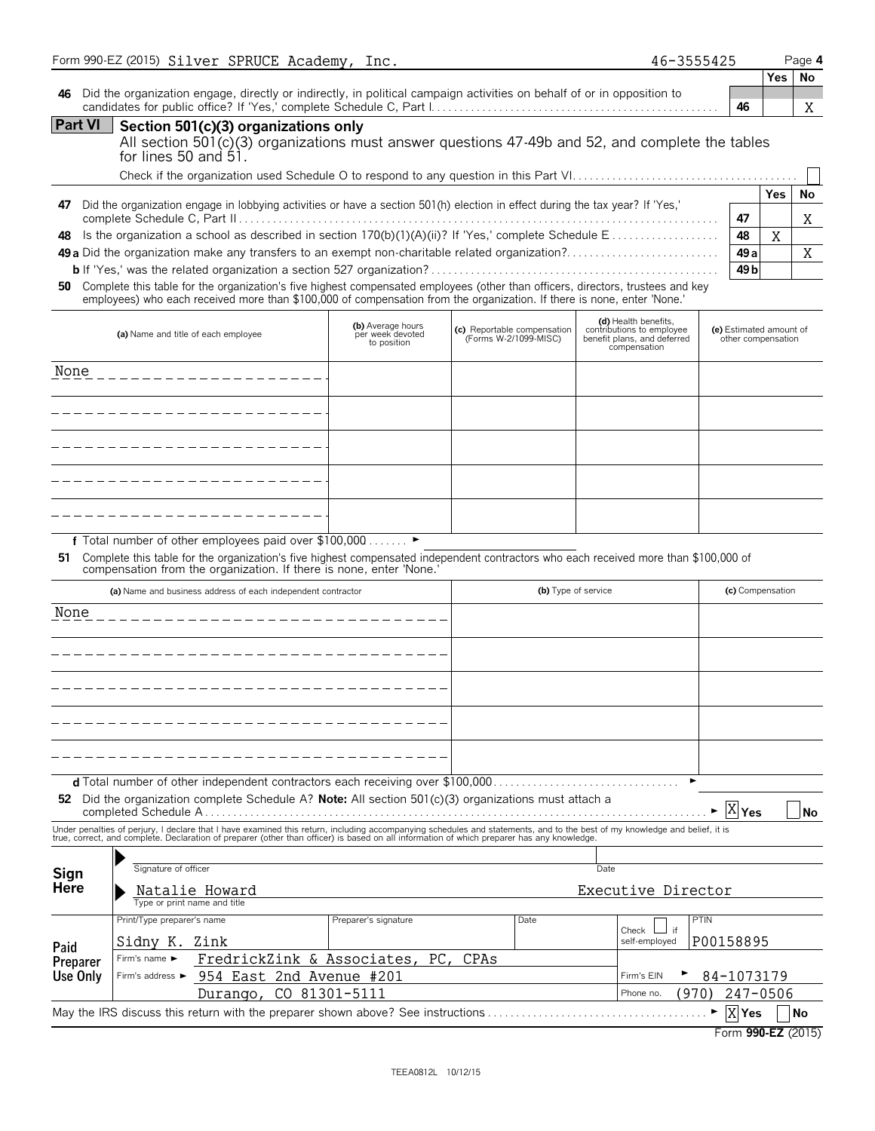|                 | Form 990-EZ (2015) Silver SPRUCE Academy, Inc.                                                                                                                                                                                                                         |                                                      |                                                      | 46-3555425                                                                                       |                                               |            | Page 4       |
|-----------------|------------------------------------------------------------------------------------------------------------------------------------------------------------------------------------------------------------------------------------------------------------------------|------------------------------------------------------|------------------------------------------------------|--------------------------------------------------------------------------------------------------|-----------------------------------------------|------------|--------------|
| 46              | Did the organization engage, directly or indirectly, in political campaign activities on behalf of or in opposition to                                                                                                                                                 |                                                      |                                                      |                                                                                                  | 46                                            | Yes        | No           |
| Part VI         | Section 501(c)(3) organizations only<br>All section 501(c)(3) organizations must answer questions 47-49b and 52, and complete the tables<br>for lines 50 and 51.                                                                                                       |                                                      |                                                      |                                                                                                  |                                               |            | X            |
|                 |                                                                                                                                                                                                                                                                        |                                                      |                                                      |                                                                                                  |                                               | <b>Yes</b> |              |
| 47<br>48        | Did the organization engage in lobbying activities or have a section 501(h) election in effect during the tax year? If 'Yes,'<br>49 a Did the organization make any transfers to an exempt non-charitable related organization?                                        |                                                      |                                                      |                                                                                                  | 47<br>48<br>49a                               | Χ          | No<br>Χ<br>X |
|                 | 50 Complete this table for the organization's five highest compensated employees (other than officers, directors, trustees and key<br>employees) who each received more than \$100,000 of compensation from the organization. If there is none, enter 'None.'          |                                                      |                                                      |                                                                                                  | 49 <sub>b</sub>                               |            |              |
|                 | (a) Name and title of each employee                                                                                                                                                                                                                                    | (b) Average hours<br>per week devoted<br>to position | (c) Reportable compensation<br>(Forms W-2/1099-MISC) | (d) Health benefits,<br>contributions to employee<br>benefit plans, and deferred<br>compensation | (e) Estimated amount of<br>other compensation |            |              |
| None            |                                                                                                                                                                                                                                                                        |                                                      |                                                      |                                                                                                  |                                               |            |              |
|                 |                                                                                                                                                                                                                                                                        |                                                      |                                                      |                                                                                                  |                                               |            |              |
|                 |                                                                                                                                                                                                                                                                        |                                                      |                                                      |                                                                                                  |                                               |            |              |
|                 |                                                                                                                                                                                                                                                                        |                                                      |                                                      |                                                                                                  |                                               |            |              |
|                 |                                                                                                                                                                                                                                                                        |                                                      |                                                      |                                                                                                  |                                               |            |              |
|                 | f Total number of other employees paid over \$100,000 ►<br>51 Complete this table for the organization's five highest compensated independent contractors who each received more than \$100,000 of compensation from the organization. If there is none, enter 'None.' |                                                      |                                                      |                                                                                                  |                                               |            |              |
|                 | (a) Name and business address of each independent contractor                                                                                                                                                                                                           |                                                      |                                                      | (b) Type of service                                                                              | (c) Compensation                              |            |              |
| None            |                                                                                                                                                                                                                                                                        |                                                      |                                                      |                                                                                                  |                                               |            |              |
|                 |                                                                                                                                                                                                                                                                        |                                                      |                                                      |                                                                                                  |                                               |            |              |
|                 |                                                                                                                                                                                                                                                                        |                                                      |                                                      |                                                                                                  |                                               |            |              |
|                 |                                                                                                                                                                                                                                                                        |                                                      |                                                      |                                                                                                  |                                               |            |              |
|                 | <b>d</b> Total number of other independent contractors each receiving over \$100,000.                                                                                                                                                                                  |                                                      |                                                      |                                                                                                  |                                               |            |              |
|                 | 52 Did the organization complete Schedule A? Note: All section $501(c)(3)$ organizations must attach a                                                                                                                                                                 |                                                      |                                                      |                                                                                                  | $\overline{X} _{\text{Yes}}$                  |            | No           |
|                 | Under penalties of perjury, I declare that I have examined this return, including accompanying schedules and statements, and to the best of my knowledge and belief, it is<br>true, correct, and complete. Declaration of prepare                                      |                                                      |                                                      |                                                                                                  |                                               |            |              |
|                 | Signature of officer                                                                                                                                                                                                                                                   |                                                      |                                                      | Date                                                                                             |                                               |            |              |
| Sign<br>Here    | Natalie Howard<br>Type or print name and title                                                                                                                                                                                                                         |                                                      |                                                      | Executive Director                                                                               |                                               |            |              |
|                 | Print/Type preparer's name                                                                                                                                                                                                                                             | Preparer's signature                                 | Date                                                 | ⊿ if<br>Check                                                                                    | <b>PTIN</b>                                   |            |              |
| Paid            | Sidny K.<br>Zink                                                                                                                                                                                                                                                       |                                                      |                                                      | self-employed                                                                                    | P00158895                                     |            |              |
| <b>Preparer</b> | FredrickZink & Associates,<br>Firm's name ►                                                                                                                                                                                                                            | PC.                                                  | CPAs                                                 |                                                                                                  |                                               |            |              |
| Use Only        | 954 East 2nd Avenue #201<br>Firm's address ▶<br>Durango, CO 81301-5111                                                                                                                                                                                                 |                                                      |                                                      | Firm's EIN<br>Phone no.<br>(970)                                                                 | 84-1073179<br>247-0506                        |            |              |
|                 | May the IRS discuss this return with the preparer shown above? See instructions                                                                                                                                                                                        |                                                      |                                                      |                                                                                                  | X Yes<br>▶                                    |            | <b>No</b>    |

| Form 990-EZ (2015) |  |
|--------------------|--|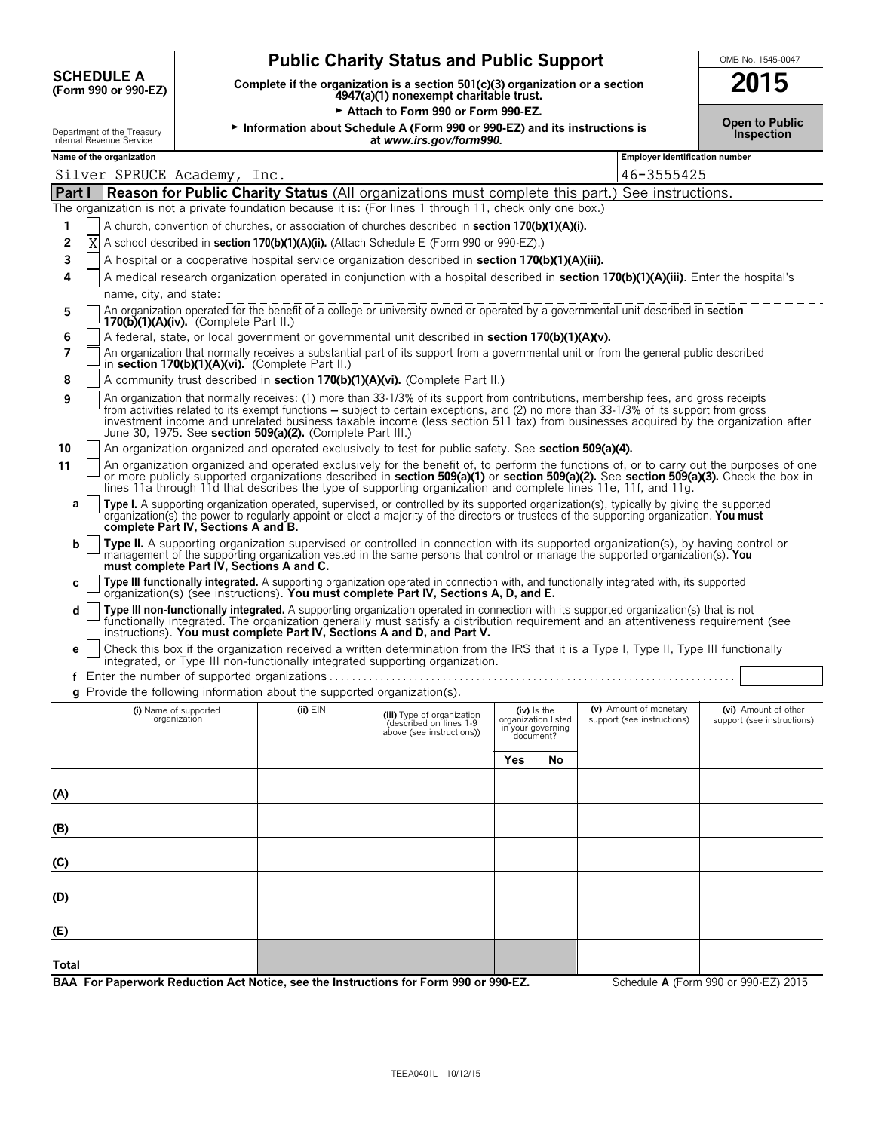|                                           | <b>Public Charity Status and Public Support</b>                                                                         | OMB No. 1545-0047 |
|-------------------------------------------|-------------------------------------------------------------------------------------------------------------------------|-------------------|
| <b>SCHEDULE A</b><br>(Form 990 or 990-EZ) | Complete if the organization is a section 501(c)(3) organization or a section<br>4947(a)(1) nonexempt charitable trust. | 2015              |
|                                           | Attach to Form 990 or Form 990-EZ.                                                                                      |                   |

|     | OMB No. 1545-0047 |
|-----|-------------------|
| --- |                   |

**Open to Public**

# Department of the Treasury <sup>G</sup>**Information about Schedule A (Form 990 or 990-EZ) and its instructions is Inspection** Internal Revenue Service **at** *www.irs.gov/form990.* **Name of the organization Employer identification number Part I Reason for Public Charity Status** (All organizations must complete this part.) See instructions. The organization is not a private foundation because it is: (For lines 1 through 11, check only one box.) **1** A church, convention of churches, or association of churches described in **section 170(b)(1)(A)(i). 2 X** A school described in **section 170(b)(1)(A)(ii).** (Attach Schedule E (Form 990 or 990-EZ).) **3** A hospital or a cooperative hospital service organization described in **section 170(b)(1)(A)(iii). 4** A medical research organization operated in conjunction with a hospital described in **section 170(b)(1)(A)(iii)**. Enter the hospital's name, city, and state: **5** An organization operated for the benefit of a college or university owned or operated by a governmental unit described in **section 170(b)(1)(A)(iv).** (Complete Part II.) **6** A federal, state, or local government or governmental unit described in **section 170(b)(1)(A)(v). 7** An organization that normally receives a substantial part of its support from a governmental unit or from the general public described in **section 170(b)(1)(A)(vi).** (Complete Part II.) **8** A A community trust described in **section 170(b)(1)(A)(vi).** (Complete Part II.) **9** An organization that normally receives: (1) more than 33-1/3% of its support from contributions, membership fees, and gross receipts from activities related to its exempt functions — subject to certain exceptions, and (2) no more than 33-1/3% of its support from gross<br>investment income and unrelated business taxable income (less section 511 tax) from bu June 30, 1975. See **section 509(a)(2).** (Complete Part III.) **10** An organization organized and operated exclusively to test for public safety. See **section 509(a)(4).** An organization organized and operated exclusively for the benefit of, to perform the functions of, or to carry out the purposes of one<br>or more publicly supported organizations described in **section 509(a)(1)** or **section** lines 11a through 11d that describes the type of supporting organization and complete lines 11e, 11f, and 11g. **a Type I.** A supporting organization operated, supervised, or controlled by its supported organization(s), typically by giving the supported organization(s) the power to regularly appoint or elect a majority of the directors or trustees of the supporting organization. **You must complete Part IV, Sections A and B. b Type II.** A supporting organization supervised or controlled in connection with its supported organization(s), by having control or management of the supporting organization vested in the same persons that control or manage the supported organization(s). **You must complete Part IV, Sections A and C.** c | Type III functionally integrated. A supporting organization operated in connection with, and functionally integrated with, its supported or ganization(s) (see instructions). You must complete Part IV, Sections A, D, an **d Type III non-functionally integrated.** A supporting organization operated in connection with its supported organization(s) that is not functionally integrated. The organization generally must satisfy a distribution requirement and an attentiveness requirement (see instructions). **You must complete Part IV, Sections A and D, and Part V. e** Check this box if the organization received a written determination from the IRS that it is a Type I, Type II, Type III functionally integrated, or Type III non-functionally integrated supporting organization. **f** Enter the number of supported organizations. . . . . . . . . . . . . . . . . . . . . . . . . . . . . . . . . . . . . . . . . . . . . . . . . . . . . . . . . . . . . . . . . . . . . . . . . **g** Provide the following information about the supported organization(s). (i) Name of supported (ii) EIN (ii) EIN (iii) Type of organization (iv) Is the (v) Amount of monetary (vi) Amount of other organization (iii) and the support (see instructions) above (see instructions) above (see instructi **Yes No (A) (B) (C) (D) (E) Total** Silver SPRUCE Academy, Inc. 46-3555425 X

**BAA For Paperwork Reduction Act Notice, see the Instructions for Form 990 or 990-EZ.** Schedule **A** (Form 990 or 990-EZ) 2015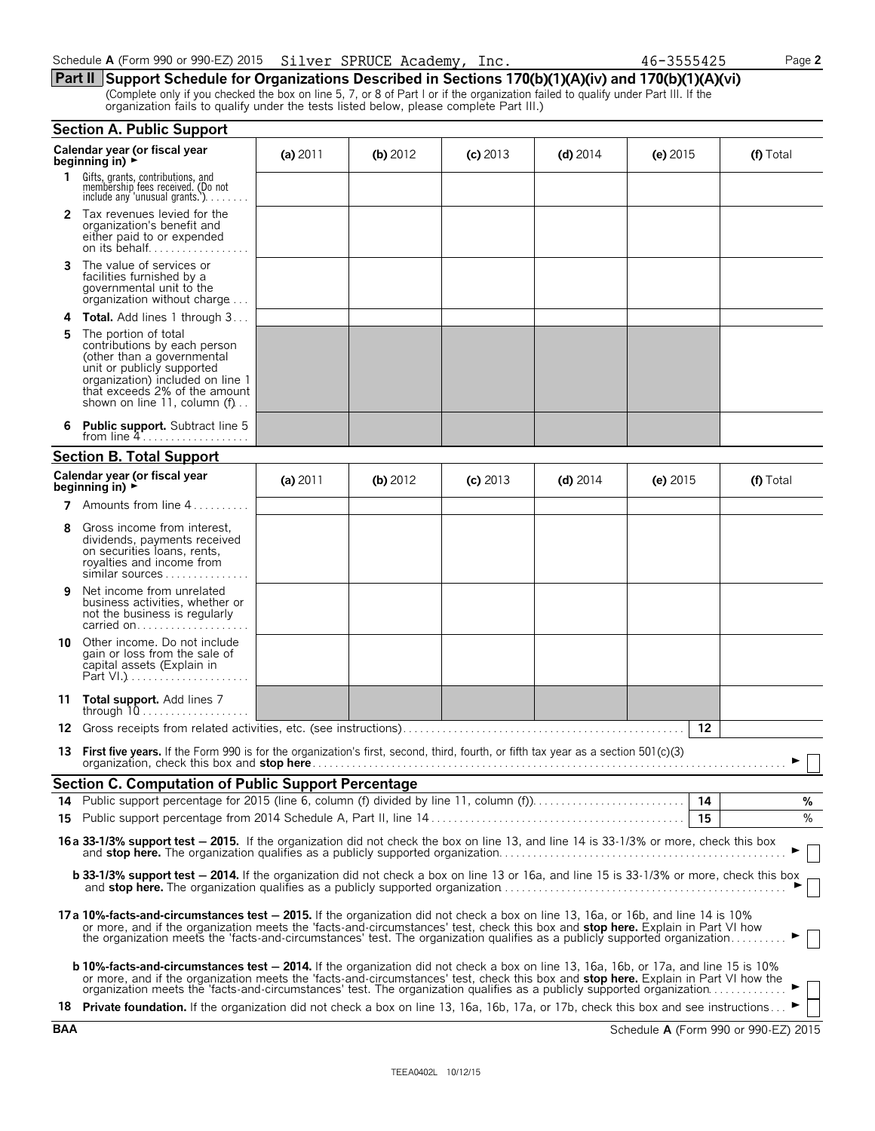| Schedule A (Form 990 or 990-EZ) 2015 Silver SPRUCE Academy, | Inc. | 46-3555425 | Page 2 |
|-------------------------------------------------------------|------|------------|--------|
|-------------------------------------------------------------|------|------------|--------|

**Part II Support Schedule for Organizations Described in Sections 170(b)(1)(A)(iv) and 170(b)(1)(A)(vi)** (Complete only if you checked the box on line 5, 7, or 8 of Part I or if the organization failed to qualify under Part III. If the organization fails to qualify under the tests listed below, please complete Part III.)

|     | <b>Section A. Public Support</b>                                                                                                                                                                                                                                                                                                                                                                            |            |            |            |            |            |    |           |
|-----|-------------------------------------------------------------------------------------------------------------------------------------------------------------------------------------------------------------------------------------------------------------------------------------------------------------------------------------------------------------------------------------------------------------|------------|------------|------------|------------|------------|----|-----------|
|     | Calendar year (or fiscal year<br>beginning in) $\rightarrow$                                                                                                                                                                                                                                                                                                                                                | (a) $2011$ | (b) $2012$ | $(c)$ 2013 | (d) $2014$ | (e) $2015$ |    | (f) Total |
| 1.  | Gifts, grants, contributions, and<br>membership fees received. (Do not<br>include any 'unusual grants.')                                                                                                                                                                                                                                                                                                    |            |            |            |            |            |    |           |
|     | <b>2</b> Tax revenues levied for the<br>organization's benefit and<br>either paid to or expended<br>on its behalf                                                                                                                                                                                                                                                                                           |            |            |            |            |            |    |           |
| 3   | The value of services or<br>facilities furnished by a<br>governmental unit to the<br>organization without charge                                                                                                                                                                                                                                                                                            |            |            |            |            |            |    |           |
| 4   | <b>Total.</b> Add lines 1 through 3                                                                                                                                                                                                                                                                                                                                                                         |            |            |            |            |            |    |           |
| 5   | The portion of total<br>contributions by each person<br>(other than a governmental<br>unit or publicly supported<br>organization) included on line 1<br>that exceeds 2% of the amount<br>shown on line 11, column (f)                                                                                                                                                                                       |            |            |            |            |            |    |           |
|     | <b>Public support.</b> Subtract line 5<br>from line $4$                                                                                                                                                                                                                                                                                                                                                     |            |            |            |            |            |    |           |
|     | <b>Section B. Total Support</b>                                                                                                                                                                                                                                                                                                                                                                             |            |            |            |            |            |    |           |
|     | Calendar year (or fiscal year<br>beginning in) $\rightarrow$                                                                                                                                                                                                                                                                                                                                                | (a) $2011$ | (b) 2012   | $(c)$ 2013 | $(d)$ 2014 | (e) $2015$ |    | (f) Total |
| 7   | Amounts from line 4                                                                                                                                                                                                                                                                                                                                                                                         |            |            |            |            |            |    |           |
| 8   | Gross income from interest,<br>dividends, payments received<br>on securities loans, rents,<br>royalties and income from<br>similar sources                                                                                                                                                                                                                                                                  |            |            |            |            |            |    |           |
| 9   | Net income from unrelated<br>business activities, whether or<br>not the business is regularly<br>carried on                                                                                                                                                                                                                                                                                                 |            |            |            |            |            |    |           |
| 10  | Other income. Do not include<br>gain or loss from the sale of<br>capital assets (Explain in                                                                                                                                                                                                                                                                                                                 |            |            |            |            |            |    |           |
| 11  | <b>Total support.</b> Add lines 7<br>through $10$                                                                                                                                                                                                                                                                                                                                                           |            |            |            |            |            |    |           |
| 12. |                                                                                                                                                                                                                                                                                                                                                                                                             |            |            |            |            |            | 12 |           |
|     | 13 First five years. If the Form 990 is for the organization's first, second, third, fourth, or fifth tax year as a section 501(c)(3)<br>organization, check this box and stop here.                                                                                                                                                                                                                        |            |            |            |            |            |    |           |
|     | <b>Section C. Computation of Public Support Percentage</b>                                                                                                                                                                                                                                                                                                                                                  |            |            |            |            |            |    |           |
|     |                                                                                                                                                                                                                                                                                                                                                                                                             |            |            |            |            |            |    | %         |
|     |                                                                                                                                                                                                                                                                                                                                                                                                             |            |            |            |            |            | 15 | %         |
|     | 16a 33-1/3% support test - 2015. If the organization did not check the box on line 13, and line 14 is 33-1/3% or more, check this box                                                                                                                                                                                                                                                                       |            |            |            |            |            |    |           |
|     | <b>b 33-1/3% support test - 2014.</b> If the organization did not check a box on line 13 or 16a, and line 15 is 33-1/3% or more, check this box                                                                                                                                                                                                                                                             |            |            |            |            |            |    |           |
|     | 17a 10%-facts-and-circumstances test - 2015. If the organization did not check a box on line 13, 16a, or 16b, and line 14 is 10%<br>or more, and if the organization meets the 'facts-and-circumstances' test, check this box and stop here. Explain in Part VI how<br>the organization meets the 'facts-and-circumstances' test. The organization qualifies as a publicly supported organization           |            |            |            |            |            |    |           |
|     | <b>b 10%-facts-and-circumstances test - 2014.</b> If the organization did not check a box on line 13, 16a, 16b, or 17a, and line 15 is 10%<br>or more, and if the organization meets the 'facts-and-circumstances' test, check this box and stop here. Explain in Part VI how the<br>organization meets the 'facts-and-circumstances' test. The organization qualifies as a publicly supported organization |            |            |            |            |            |    |           |
|     | 18 Private foundation. If the organization did not check a box on line 13, 16a, 16b, 17a, or 17b, check this box and see instructions ►                                                                                                                                                                                                                                                                     |            |            |            |            |            |    |           |

|  | 46-3555425 |  |
|--|------------|--|
|  |            |  |

|  |                |  |  |  |  | Schedule A (Form 990 or 990-EZ) 2015 Silver SPRUCE Academy, Inc. |  |  |  |
|--|----------------|--|--|--|--|------------------------------------------------------------------|--|--|--|
|  | <u>in uile</u> |  |  |  |  |                                                                  |  |  |  |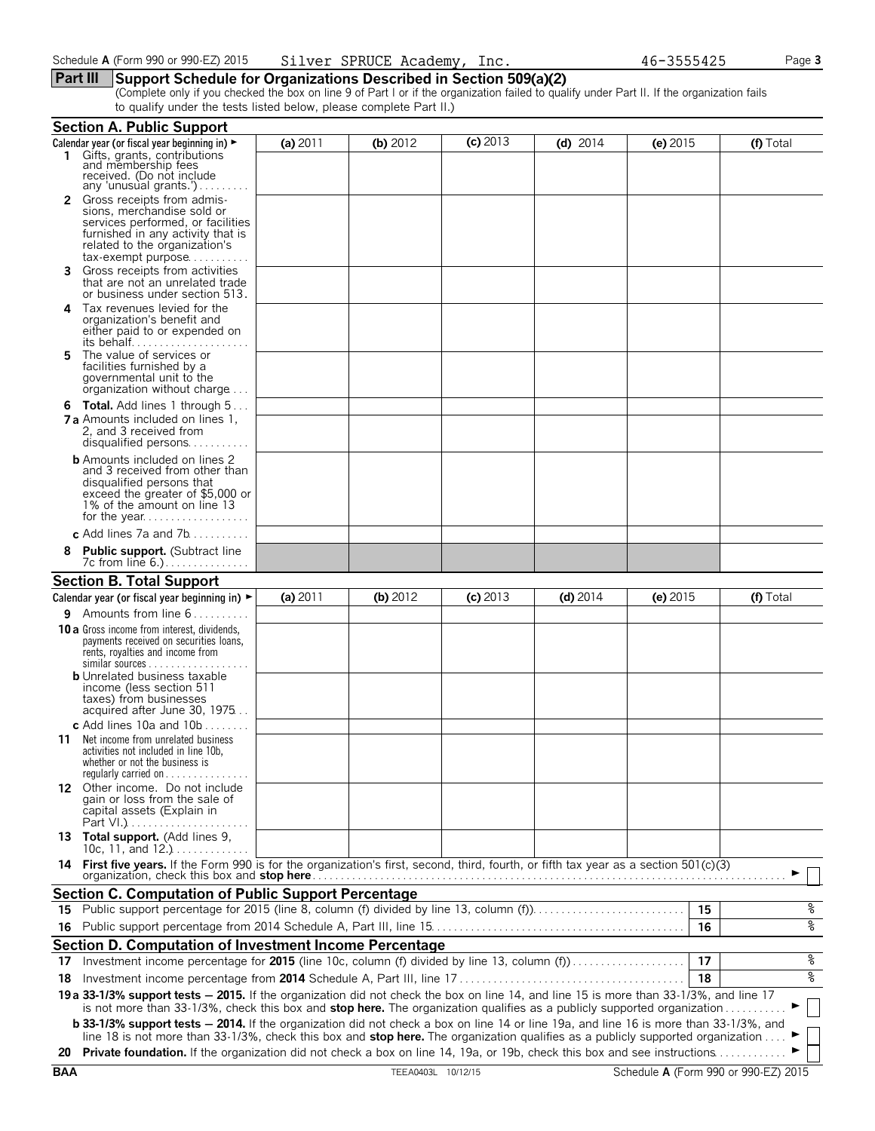#### **Part III Support Schedule for Organizations Described in Section 509(a)(2)**

(Complete only if you checked the box on line 9 of Part I or if the organization failed to qualify under Part II. If the organization fails to qualify under the tests listed below, please complete Part II.)

|     | <b>Section A. Public Support</b>                                                                                                                                                                                                                                  |          |            |            |            |            |           |
|-----|-------------------------------------------------------------------------------------------------------------------------------------------------------------------------------------------------------------------------------------------------------------------|----------|------------|------------|------------|------------|-----------|
|     | Calendar year (or fiscal year beginning in) ►                                                                                                                                                                                                                     | (a) 2011 | (b) $2012$ | $(c)$ 2013 | (d) $2014$ | (e) $2015$ | (f) Total |
|     | Gifts, grants, contributions<br>and membership fees<br>received. (Do not include                                                                                                                                                                                  |          |            |            |            |            |           |
|     | any 'unusual grants.')                                                                                                                                                                                                                                            |          |            |            |            |            |           |
|     | <b>2</b> Gross receipts from admis-<br>sions, merchandise sold or                                                                                                                                                                                                 |          |            |            |            |            |           |
|     | services performed, or facilities                                                                                                                                                                                                                                 |          |            |            |            |            |           |
|     | furnished in any activity that is                                                                                                                                                                                                                                 |          |            |            |            |            |           |
|     | related to the organization's                                                                                                                                                                                                                                     |          |            |            |            |            |           |
| 3.  | tax-exempt purpose<br>Gross receipts from activities                                                                                                                                                                                                              |          |            |            |            |            |           |
|     | that are not an unrelated trade<br>or business under section 513.                                                                                                                                                                                                 |          |            |            |            |            |           |
| 4   | Tax revenues levied for the                                                                                                                                                                                                                                       |          |            |            |            |            |           |
|     | organization's benefit and                                                                                                                                                                                                                                        |          |            |            |            |            |           |
|     | either paid to or expended on<br>its behalf                                                                                                                                                                                                                       |          |            |            |            |            |           |
| 5   | The value of services or                                                                                                                                                                                                                                          |          |            |            |            |            |           |
|     | facilities furnished by a                                                                                                                                                                                                                                         |          |            |            |            |            |           |
|     | governmental unit to the<br>organization without charge                                                                                                                                                                                                           |          |            |            |            |            |           |
|     | <b>6 Total.</b> Add lines 1 through 5                                                                                                                                                                                                                             |          |            |            |            |            |           |
|     | <b>7 a</b> Amounts included on lines 1,                                                                                                                                                                                                                           |          |            |            |            |            |           |
|     | 2, and 3 received from                                                                                                                                                                                                                                            |          |            |            |            |            |           |
|     | disqualified persons                                                                                                                                                                                                                                              |          |            |            |            |            |           |
|     | <b>b</b> Amounts included on lines 2                                                                                                                                                                                                                              |          |            |            |            |            |           |
|     | and 3 received from other than<br>disqualified persons that                                                                                                                                                                                                       |          |            |            |            |            |           |
|     | exceed the greater of \$5,000 or                                                                                                                                                                                                                                  |          |            |            |            |            |           |
|     | 1% of the amount on line 13                                                                                                                                                                                                                                       |          |            |            |            |            |           |
|     |                                                                                                                                                                                                                                                                   |          |            |            |            |            |           |
|     | c Add lines $7a$ and $7b$                                                                                                                                                                                                                                         |          |            |            |            |            |           |
| 8   | <b>Public support.</b> (Subtract line<br>7c from line 6.)                                                                                                                                                                                                         |          |            |            |            |            |           |
|     | <b>Section B. Total Support</b>                                                                                                                                                                                                                                   |          |            |            |            |            |           |
|     | Calendar year (or fiscal year beginning in) $\blacktriangleright$                                                                                                                                                                                                 | (a) 2011 | (b) $2012$ | $(c)$ 2013 | $(d)$ 2014 | (e) $2015$ | (f) Total |
|     | <b>9</b> Amounts from line $6$                                                                                                                                                                                                                                    |          |            |            |            |            |           |
|     | <b>10 a</b> Gross income from interest, dividends,                                                                                                                                                                                                                |          |            |            |            |            |           |
|     | payments received on securities loans,<br>rents, royalties and income from                                                                                                                                                                                        |          |            |            |            |            |           |
|     | $similar$ sources                                                                                                                                                                                                                                                 |          |            |            |            |            |           |
|     | <b>b</b> Unrelated business taxable                                                                                                                                                                                                                               |          |            |            |            |            |           |
|     | income (less section 511<br>taxes) from businesses                                                                                                                                                                                                                |          |            |            |            |            |           |
|     | acquired after June 30, 1975                                                                                                                                                                                                                                      |          |            |            |            |            |           |
|     | c Add lines 10a and 10b $\dots \dots$                                                                                                                                                                                                                             |          |            |            |            |            |           |
| 11. | Net income from unrelated business                                                                                                                                                                                                                                |          |            |            |            |            |           |
|     | activities not included in line 10b,<br>whether or not the business is                                                                                                                                                                                            |          |            |            |            |            |           |
|     | regularly carried on $\dots\dots\dots\dots\dots$                                                                                                                                                                                                                  |          |            |            |            |            |           |
|     | 12 Other income. Do not include                                                                                                                                                                                                                                   |          |            |            |            |            |           |
|     | gain or loss from the sale of<br>capital assets (Explain in                                                                                                                                                                                                       |          |            |            |            |            |           |
|     |                                                                                                                                                                                                                                                                   |          |            |            |            |            |           |
|     | 13 Total support. (Add lines 9,                                                                                                                                                                                                                                   |          |            |            |            |            |           |
|     | 10c, 11, and $12.$ )                                                                                                                                                                                                                                              |          |            |            |            |            |           |
|     | 14 First five years. If the Form 990 is for the organization's first, second, third, fourth, or fifth tax year as a section 501(c)(3)                                                                                                                             |          |            |            |            |            |           |
|     | Section C. Computation of Public Support Percentage                                                                                                                                                                                                               |          |            |            |            |            |           |
|     | 15 Public support percentage for 2015 (line 8, column (f) divided by line 13, column (f)                                                                                                                                                                          |          |            |            |            | 15         | %         |
|     |                                                                                                                                                                                                                                                                   |          |            |            |            |            | ४         |
| 16  |                                                                                                                                                                                                                                                                   |          |            |            |            | 16         |           |
|     | Section D. Computation of Investment Income Percentage                                                                                                                                                                                                            |          |            |            |            |            |           |
|     | 17 Investment income percentage for 2015 (line 10c, column (f) divided by line 13, column (f)                                                                                                                                                                     |          |            |            |            | 17         | %         |
| 18  |                                                                                                                                                                                                                                                                   |          |            |            |            | 18         | ४         |
|     | 19 a 33-1/3% support tests - 2015. If the organization did not check the box on line 14, and line 15 is more than 33-1/3%, and line 17<br>is not more than 33-1/3%, check this box and stop here. The organization qualifies as a publicly supported organization |          |            |            |            |            |           |
|     | <b>b 33-1/3% support tests - 2014.</b> If the organization did not check a box on line 14 or line 19a, and line 16 is more than 33-1/3%, and                                                                                                                      |          |            |            |            |            |           |
|     | line 18 is not more than 33-1/3%, check this box and stop here. The organization qualifies as a publicly supported organization                                                                                                                                   |          |            |            |            |            |           |
|     | 20 Private foundation. If the organization did not check a box on line 14, 19a, or 19b, check this box and see instructions                                                                                                                                       |          |            |            |            |            |           |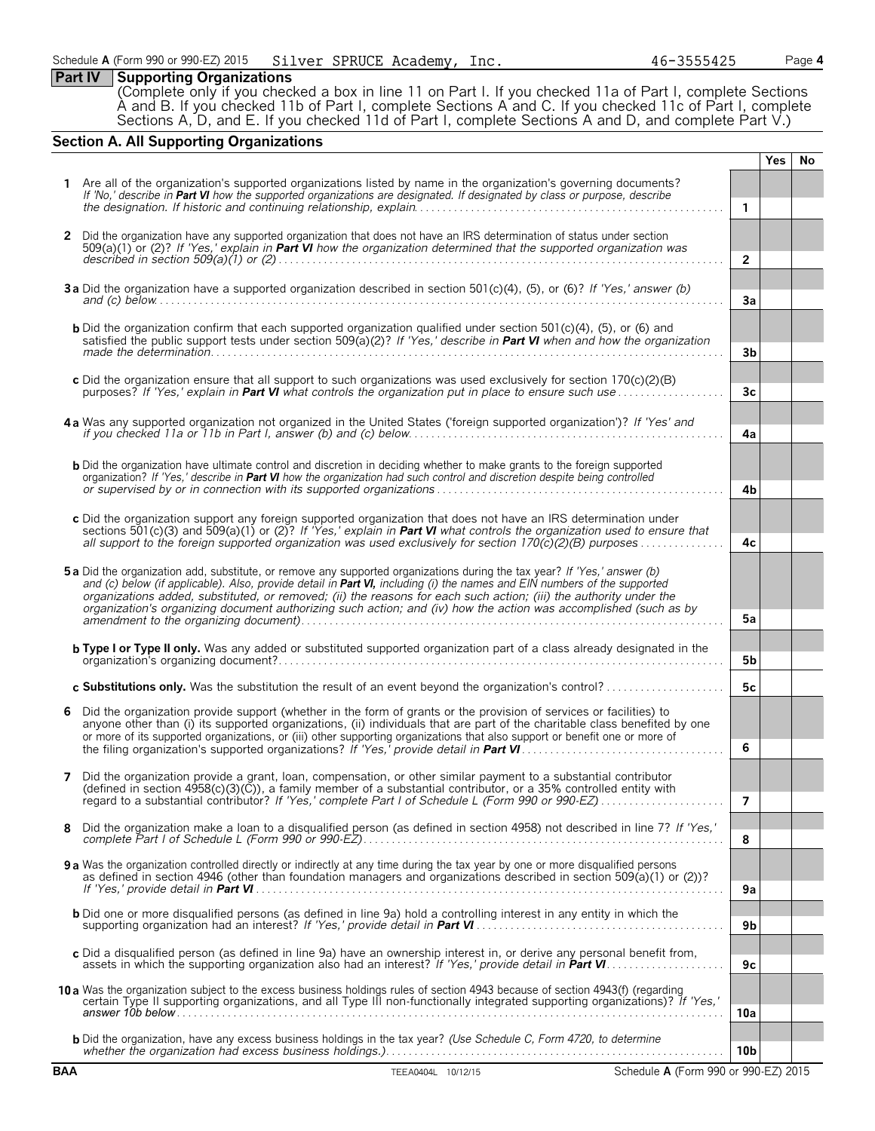# **Part IV Supporting Organizations**

(Complete only if you checked a box in line 11 on Part I. If you checked 11a of Part I, complete Sections A and B. If you checked 11b of Part I, complete Sections A and C. If you checked 11c of Part I, complete Sections A, D, and E. If you checked 11d of Part I, complete Sections A and D, and complete Part V.)

# **Section A. All Supporting Organizations**

|              |                                                                                                                                                                                                                                                                                 |                 | <b>Yes</b> | No. |
|--------------|---------------------------------------------------------------------------------------------------------------------------------------------------------------------------------------------------------------------------------------------------------------------------------|-----------------|------------|-----|
|              | Are all of the organization's supported organizations listed by name in the organization's governing documents?                                                                                                                                                                 |                 |            |     |
|              | If 'No,' describe in Part VI how the supported organizations are designated. If designated by class or purpose, describe                                                                                                                                                        | $\mathbf{1}$    |            |     |
|              |                                                                                                                                                                                                                                                                                 |                 |            |     |
| $\mathbf{2}$ | Did the organization have any supported organization that does not have an IRS determination of status under section<br>$509(a)(1)$ or (2)? If 'Yes,' explain in Part VI how the organization determined that the supported organization was                                    |                 |            |     |
|              |                                                                                                                                                                                                                                                                                 | $\overline{2}$  |            |     |
|              |                                                                                                                                                                                                                                                                                 |                 |            |     |
|              | 3a Did the organization have a supported organization described in section 501(c)(4), (5), or (6)? If 'Yes,' answer (b)<br>and (c) below $\ldots$ $\ldots$ $\ldots$ $\ldots$ $\ldots$ $\ldots$ $\ldots$ $\ldots$ $\ldots$ $\ldots$ $\ldots$ $\ldots$ $\ldots$ $\ldots$ $\ldots$ | 3a              |            |     |
|              |                                                                                                                                                                                                                                                                                 |                 |            |     |
|              | <b>b</b> Did the organization confirm that each supported organization qualified under section $501(c)(4)$ , $(5)$ , or $(6)$ and<br>satisfied the public support tests under section 509( $a(2)$ ? If 'Yes,' describe in Part VI when and how the organization                 |                 |            |     |
|              |                                                                                                                                                                                                                                                                                 | 3b              |            |     |
|              | c Did the organization ensure that all support to such organizations was used exclusively for section 170(c)(2)(B)                                                                                                                                                              |                 |            |     |
|              | purposes? If 'Yes,' explain in <b>Part VI</b> what controls the organization put in place to ensure such use                                                                                                                                                                    | 3 <sub>c</sub>  |            |     |
|              | 4a Was any supported organization not organized in the United States ('foreign supported organization')? If 'Yes' and                                                                                                                                                           |                 |            |     |
|              |                                                                                                                                                                                                                                                                                 | 4a              |            |     |
|              |                                                                                                                                                                                                                                                                                 |                 |            |     |
|              | <b>b</b> Did the organization have ultimate control and discretion in deciding whether to make grants to the foreign supported<br>organization? If 'Yes,' describe in Part VI how the organization had such control and discretion despite being controlled                     |                 |            |     |
|              |                                                                                                                                                                                                                                                                                 | 4b              |            |     |
|              | c Did the organization support any foreign supported organization that does not have an IRS determination under                                                                                                                                                                 |                 |            |     |
|              | sections 501(c)(3) and 509(a)(1) or (2)? If 'Yes,' explain in <b>Part VI</b> what controls the organization used to ensure that                                                                                                                                                 |                 |            |     |
|              | all support to the foreign supported organization was used exclusively for section 170(c)(2)(B) purposes                                                                                                                                                                        | 4c              |            |     |
|              | 5a Did the organization add, substitute, or remove any supported organizations during the tax year? If 'Yes,' answer (b)                                                                                                                                                        |                 |            |     |
|              | and (c) below (if applicable). Also, provide detail in Part VI, including (i) the names and EIN numbers of the supported<br>organizations added, substituted, or removed; (ii) the reasons for each such action; (iii) the authority under the                                  |                 |            |     |
|              | organization's organizing document authorizing such action; and (iv) how the action was accomplished (such as by                                                                                                                                                                | 5a              |            |     |
|              |                                                                                                                                                                                                                                                                                 |                 |            |     |
|              | <b>b Type I or Type II only.</b> Was any added or substituted supported organization part of a class already designated in the                                                                                                                                                  | 5b              |            |     |
|              |                                                                                                                                                                                                                                                                                 |                 |            |     |
|              | c Substitutions only. Was the substitution the result of an event beyond the organization's control?                                                                                                                                                                            | 5c              |            |     |
| 6            | Did the organization provide support (whether in the form of grants or the provision of services or facilities) to<br>anyone other than (i) its supported organizations, (ii) individuals that are part of the charitable class benefited by one                                |                 |            |     |
|              | or more of its supported organizations, or (iii) other supporting organizations that also support or benefit one or more of                                                                                                                                                     |                 |            |     |
|              |                                                                                                                                                                                                                                                                                 | 6               |            |     |
| 7            | Did the organization provide a grant, loan, compensation, or other similar payment to a substantial contributor                                                                                                                                                                 |                 |            |     |
|              | (defined in section 4958(c)(3)(C)), a family member of a substantial contributor, or a 35% controlled entity with                                                                                                                                                               | 7               |            |     |
|              |                                                                                                                                                                                                                                                                                 |                 |            |     |
| 8            | Did the organization make a loan to a disqualified person (as defined in section 4958) not described in line 7? If 'Yes,'                                                                                                                                                       | 8               |            |     |
|              |                                                                                                                                                                                                                                                                                 |                 |            |     |
|              | 9 a Was the organization controlled directly or indirectly at any time during the tax year by one or more disqualified persons<br>as defined in section 4946 (other than foundation managers and organizations described in section 509(a)(1) or (2))?                          |                 |            |     |
|              |                                                                                                                                                                                                                                                                                 | 9a              |            |     |
|              | <b>b</b> Did one or more disqualified persons (as defined in line 9a) hold a controlling interest in any entity in which the                                                                                                                                                    |                 |            |     |
|              |                                                                                                                                                                                                                                                                                 | 9 <sub>b</sub>  |            |     |
|              | c Did a disqualified person (as defined in line 9a) have an ownership interest in, or derive any personal benefit from,                                                                                                                                                         | 9c              |            |     |
|              |                                                                                                                                                                                                                                                                                 |                 |            |     |
|              | 10 a Was the organization subject to the excess business holdings rules of section 4943 because of section 4943(f) (regarding<br>certain Type II supporting organizations, and all Type III non-functionally integrated supporting organizations)? If 'Yes,'                    |                 |            |     |
|              |                                                                                                                                                                                                                                                                                 | 10a             |            |     |
|              | <b>b</b> Did the organization, have any excess business holdings in the tax year? (Use Schedule C, Form 4720, to determine                                                                                                                                                      |                 |            |     |
|              |                                                                                                                                                                                                                                                                                 | 10 <sub>b</sub> |            |     |
| <b>BAA</b>   | TEEA0404L 10/12/15<br>Schedule A (Form 990 or 990-EZ) 2015                                                                                                                                                                                                                      |                 |            |     |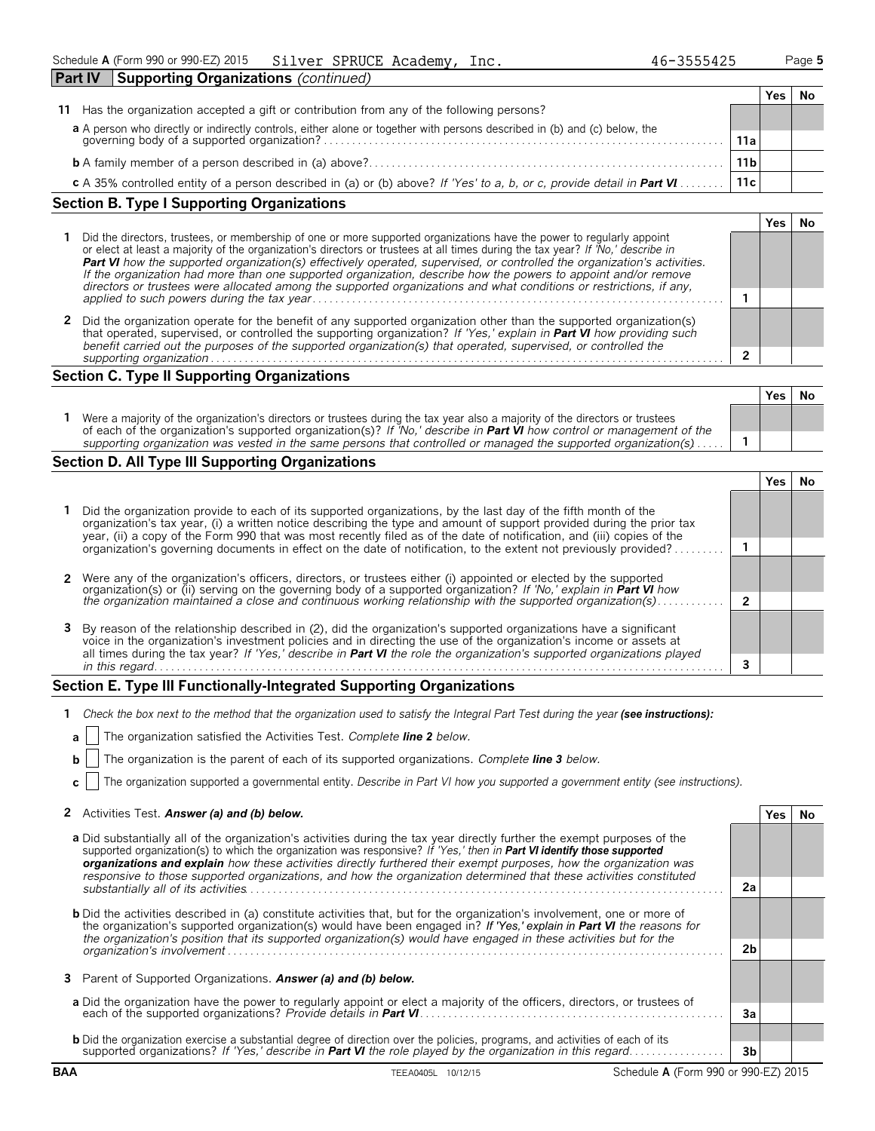| <b>Part IV</b><br>Supporting Organizations (continued)                                                                                                                |     |      |  |
|-----------------------------------------------------------------------------------------------------------------------------------------------------------------------|-----|------|--|
|                                                                                                                                                                       |     | r es |  |
| Has the organization accepted a gift or contribution from any of the following persons?<br>11                                                                         |     |      |  |
|                                                                                                                                                                       |     |      |  |
| a A person who directly or indirectly controls, either alone or together with persons described in (b) and (c) below, the governing body of a supported organization? | 11a |      |  |
|                                                                                                                                                                       | 11b |      |  |
| c A 35% controlled entity of a person described in (a) or (b) above? If 'Yes' to a, b, or c, provide detail in Part VI                                                | 11c |      |  |

# **Section B. Type I Supporting Organizations**

|   | Did the directors, trustees, or membership of one or more supported organizations have the power to regularly appoint<br>or elect at least a majority of the organization's directors or trustees at all times during the tax year? If 'No,' describe in<br>Part VI how the supported organization(s) effectively operated, supervised, or controlled the organization's activities.<br>If the organization had more than one supported organization, describe how the powers to appoint and/or remove<br>directors or trustees were allocated among the supported organizations and what conditions or restrictions, if any, |  |  |
|---|-------------------------------------------------------------------------------------------------------------------------------------------------------------------------------------------------------------------------------------------------------------------------------------------------------------------------------------------------------------------------------------------------------------------------------------------------------------------------------------------------------------------------------------------------------------------------------------------------------------------------------|--|--|
|   |                                                                                                                                                                                                                                                                                                                                                                                                                                                                                                                                                                                                                               |  |  |
| 2 | Did the organization operate for the benefit of any supported organization other than the supported organization(s)<br>that operated, supervised, or controlled the supporting organization? If 'Yes,' explain in Part VI how providing such<br>benefit carried out the purposes of the supported organization(s) that operated, supervised, or controlled the                                                                                                                                                                                                                                                                |  |  |
|   | supporting organization                                                                                                                                                                                                                                                                                                                                                                                                                                                                                                                                                                                                       |  |  |

# **Section C. Type II Supporting Organizations**

|                                                                                                                                                                                                                                                               | Yes | Νc |
|---------------------------------------------------------------------------------------------------------------------------------------------------------------------------------------------------------------------------------------------------------------|-----|----|
| Were a majority of the organization's directors or trustees during the tax year also a majority of the directors or trustees<br>of each of the organization's supported organization(s)? If 'No,' describe in <b>Part VI</b> how control or management of the |     |    |
| supporting organization was vested in the same persons that controlled or managed the supported organization(s)                                                                                                                                               |     |    |

# **Section D. All Type III Supporting Organizations**

| 1 Did the organization provide to each of its supported organizations, by the last day of the fifth month of the<br>organization's tax year, (i) a written notice describing the type and amount of support provided during the prior tax<br>year, (ii) a copy of the Form 990 that was most recently filed as of the date of notification, and (iii) copies of the  |  |  |
|----------------------------------------------------------------------------------------------------------------------------------------------------------------------------------------------------------------------------------------------------------------------------------------------------------------------------------------------------------------------|--|--|
| organization's governing documents in effect on the date of notification, to the extent not previously provided?                                                                                                                                                                                                                                                     |  |  |
|                                                                                                                                                                                                                                                                                                                                                                      |  |  |
| 2 Were any of the organization's officers, directors, or trustees either (i) appointed or elected by the supported<br>organization(s) or (ii) serving on the governing body of a supported organization? If No, explain in Part VI how                                                                                                                               |  |  |
| the organization maintained a close and continuous working relationship with the supported organization(s)                                                                                                                                                                                                                                                           |  |  |
| 3 By reason of the relationship described in (2), did the organization's supported organizations have a significant<br>voice in the organization's investment policies and in directing the use of the organization's income or assets at<br>all times during the tax year? If 'Yes,' describe in Part VI the role the organization's supported organizations played |  |  |
| in this regard.                                                                                                                                                                                                                                                                                                                                                      |  |  |

## **Section E. Type III Functionally-Integrated Supporting Organizations**

| 1 Check the box next to the method that the organization used to satisfy the Integral Part Test during the year (see instructions): |  |  |
|-------------------------------------------------------------------------------------------------------------------------------------|--|--|
|                                                                                                                                     |  |  |

|  |  | <b>a</b>     The organization satisfied the Activities Test. Complete line 2 below. |  |  |  |  |
|--|--|-------------------------------------------------------------------------------------|--|--|--|--|
|--|--|-------------------------------------------------------------------------------------|--|--|--|--|

|  |  | <b>b</b>   The organization is the parent of each of its supported organizations. Complete line 3 below. |  |
|--|--|----------------------------------------------------------------------------------------------------------|--|
|  |  |                                                                                                          |  |

**c** The organization supported a governmental entity. *Describe in Part VI how you supported a government entity (see instructions).*

| 2 Activities Test. Answer (a) and (b) below. |  | Yes No |  |
|----------------------------------------------|--|--------|--|
|----------------------------------------------|--|--------|--|

| <b>a</b> Did substantially all of the organization's activities during the tax year directly further the exempt purposes of the<br>supported organization(s) to which the organization was responsive? If 'Yes,' then in <b>Part VI identify those supported</b><br>organizations and explain how these activities directly furthered their exempt purposes, how the organization was<br>responsive to those supported organizations, and how the organization determined that these activities constituted |                |  |
|-------------------------------------------------------------------------------------------------------------------------------------------------------------------------------------------------------------------------------------------------------------------------------------------------------------------------------------------------------------------------------------------------------------------------------------------------------------------------------------------------------------|----------------|--|
| substantially all of its activities                                                                                                                                                                                                                                                                                                                                                                                                                                                                         | 2a             |  |
| <b>b</b> Did the activities described in (a) constitute activities that, but for the organization's involvement, one or more of<br>the organization's supported organization(s) would have been engaged in? If 'Yes,' explain in Part VI the reasons for<br>the organization's position that its supported organization(s) would have engaged in these activities but for the                                                                                                                               |                |  |
| organization's involvement                                                                                                                                                                                                                                                                                                                                                                                                                                                                                  | 2 <sub>h</sub> |  |
| 3 Parent of Supported Organizations. Answer (a) and (b) below.                                                                                                                                                                                                                                                                                                                                                                                                                                              |                |  |
| a Did the organization have the power to regularly appoint or elect a majority of the officers, directors, or trustees of                                                                                                                                                                                                                                                                                                                                                                                   | 3a             |  |
| <b>b</b> Did the organization exercise a substantial degree of direction over the policies, programs, and activities of each of its                                                                                                                                                                                                                                                                                                                                                                         |                |  |
| supported organizations? If 'Yes,' describe in <b>Part VI</b> the role played by the organization in this regard                                                                                                                                                                                                                                                                                                                                                                                            | 3b             |  |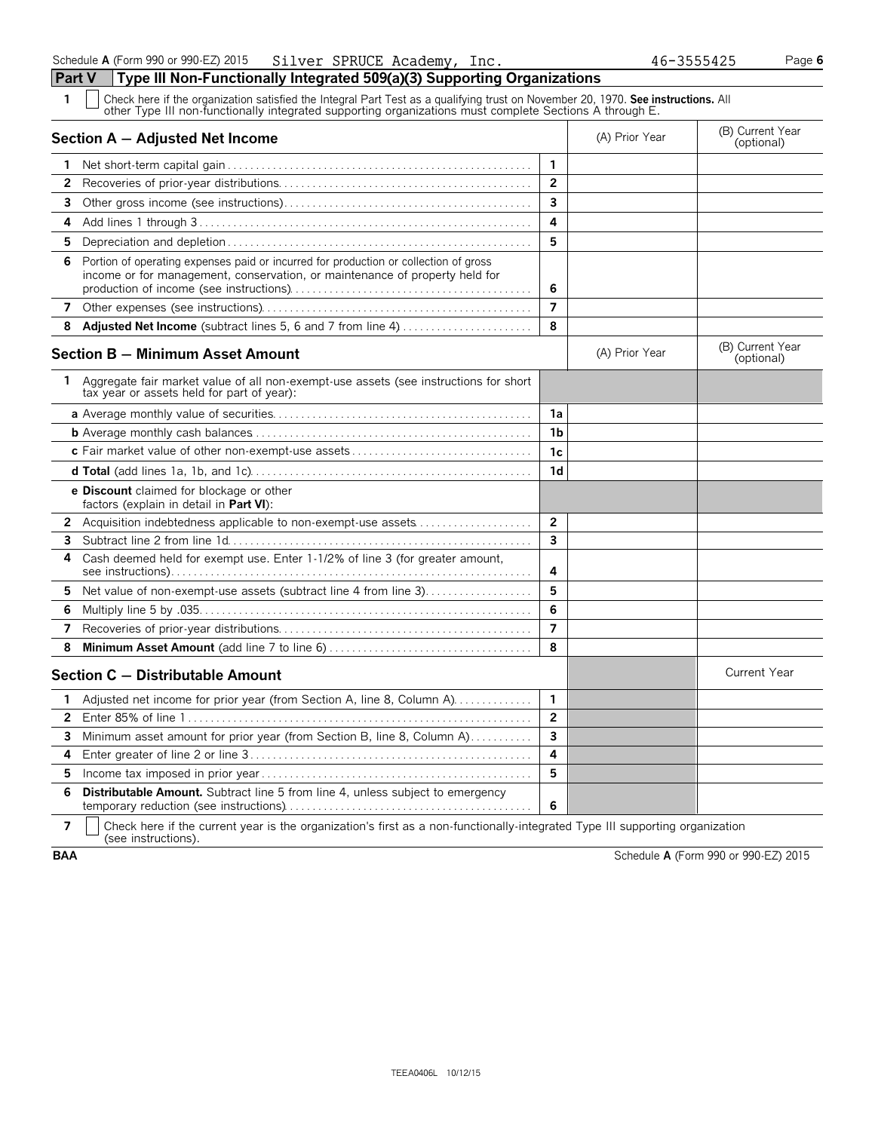**Part V Type III Non-Functionally Integrated 509(a)(3) Supporting Organizations** Check here if the organization satisfied the Integral Part Test as a qualifying trust on November 20, 1970. **See instructions.** All other Type III non-functionally integrated supporting organizations must complete Sections A through E. **Section A – Adjusted Net Income** (B) Current Year (B) Current Year (B) Current Year (B) Current Year (Optional) Net short-term capital gain . . . . . . . . . . . . . . . . . . . . . . . . . . . . . . . . . . . . . . . . . . . . . . . . . . . . . . **1** Recoveries of prior-year distributions. . . . . . . . . . . . . . . . . . . . . . . . . . . . . . . . . . . . . . . . . . . . . **2** Other gross income (see instructions). . . . . . . . . . . . . . . . . . . . . . . . . . . . . . . . . . . . . . . . . . . . **3** Add lines 1 through 3 . . . . . . . . . . . . . . . . . . . . . . . . . . . . . . . . . . . . . . . . . . . . . . . . . . . . . . . . . . . **4** Depreciation and depletion . . . . . . . . . . . . . . . . . . . . . . . . . . . . . . . . . . . . . . . . . . . . . . . . . . . . . . **5** Portion of operating expenses paid or incurred for production or collection of gross income or for management, conservation, or maintenance of property held for production of income (see instructions). . . . . . . . . . . . . . . . . . . . . . . . . . . . . . . . . . . . . . . . . . . **6** Other expenses (see instructions). . . . . . . . . . . . . . . . . . . . . . . . . . . . . . . . . . . . . . . . . . . . . . . . **7 Adjusted Net Income** (subtract lines 5, 6 and 7 from line 4). . . . . . . . . . . . . . . . . . . . . . . . **8 Section B – Minimum Asset Amount Section B – Minimum Asset Amount** (B) Current Year (B) Current Year (B) Current Year Aggregate fair market value of all non-exempt-use assets (see instructions for short tax year or assets held for part of year): **a** Average monthly value of securities. . . . . . . . . . . . . . . . . . . . . . . . . . . . . . . . . . . . . . . . . . . . . . **1a b** Average monthly cash balances. . . . . . . . . . . . . . . . . . . . . . . . . . . . . . . . . . . . . . . . . . . . . . . . . . **1b c** Fair market value of other non-exempt-use assets . . . . . . . . . . . . . . . . . . . . . . . . . . . . . . . . **1c d Total** (add lines 1a, 1b, and 1c). . . . . . . . . . . . . . . . . . . . . . . . . . . . . . . . . . . . . . . . . . . . . . . . . . **1d e Discount** claimed for blockage or other factors (explain in detail in **Part VI**): Acquisition indebtedness applicable to non-exempt-use assets. . . . . . . . . . . . . . . . . . . . . **2** Subtract line 2 from line 1d. . . . . . . . . . . . . . . . . . . . . . . . . . . . . . . . . . . . . . . . . . . . . . . . . . . . . . **3** Cash deemed held for exempt use. Enter 1-1/2% of line 3 (for greater amount, see instructions). . . . . . . . . . . . . . . . . . . . . . . . . . . . . . . . . . . . . . . . . . . . . . . . . . . . . . . . . . . . . . . . **4** Net value of non-exempt-use assets (subtract line 4 from line 3). . . . . . . . . . . . . . . . . . 5 Multiply line 5 by .035. . . . . . . . . . . . . . . . . . . . . . . . . . . . . . . . . . . . . . . . . . . . . . . . . . . . . . . . . . . **6** Recoveries of prior-year distributions. . . . . . . . . . . . . . . . . . . . . . . . . . . . . . . . . . . . . . . . . . . . . **7 Minimum Asset Amount** (add line 7 to line 6) . . . . . . . . . . . . . . . . . . . . . . . . . . . . . . . . . . . . **8 Section C – Distributable Amount** Current Year **Current Year Amount** Current Year Amount Adjusted net income for prior year (from Section A, line 8, Column A). . . . . . . . . . . . . 1 Enter 85% of line 1 . . . . . . . . . . . . . . . . . . . . . . . . . . . . . . . . . . . . . . . . . . . . . . . . . . . . . . . . . . . . . **2** Minimum asset amount for prior year (from Section B, line 8, Column A)............ Enter greater of line 2 or line 3 . . . . . . . . . . . . . . . . . . . . . . . . . . . . . . . . . . . . . . . . . . . . . . . . . . **4** Income tax imposed in prior year . . . . . . . . . . . . . . . . . . . . . . . . . . . . . . . . . . . . . . . . . . . . . . . . **5 Distributable Amount.** Subtract line 5 from line 4, unless subject to emergency

temporary reduction (see instructions). . . . . . . . . . . . . . . . . . . . . . . . . . . . . . . . . . . . . . . . . . . . **6 7** | Check here if the current year is the organization's first as a non-functionally-integrated Type III supporting organization (see instructions).

**BAA** Schedule **A** (Form 990 or 990-EZ) 2015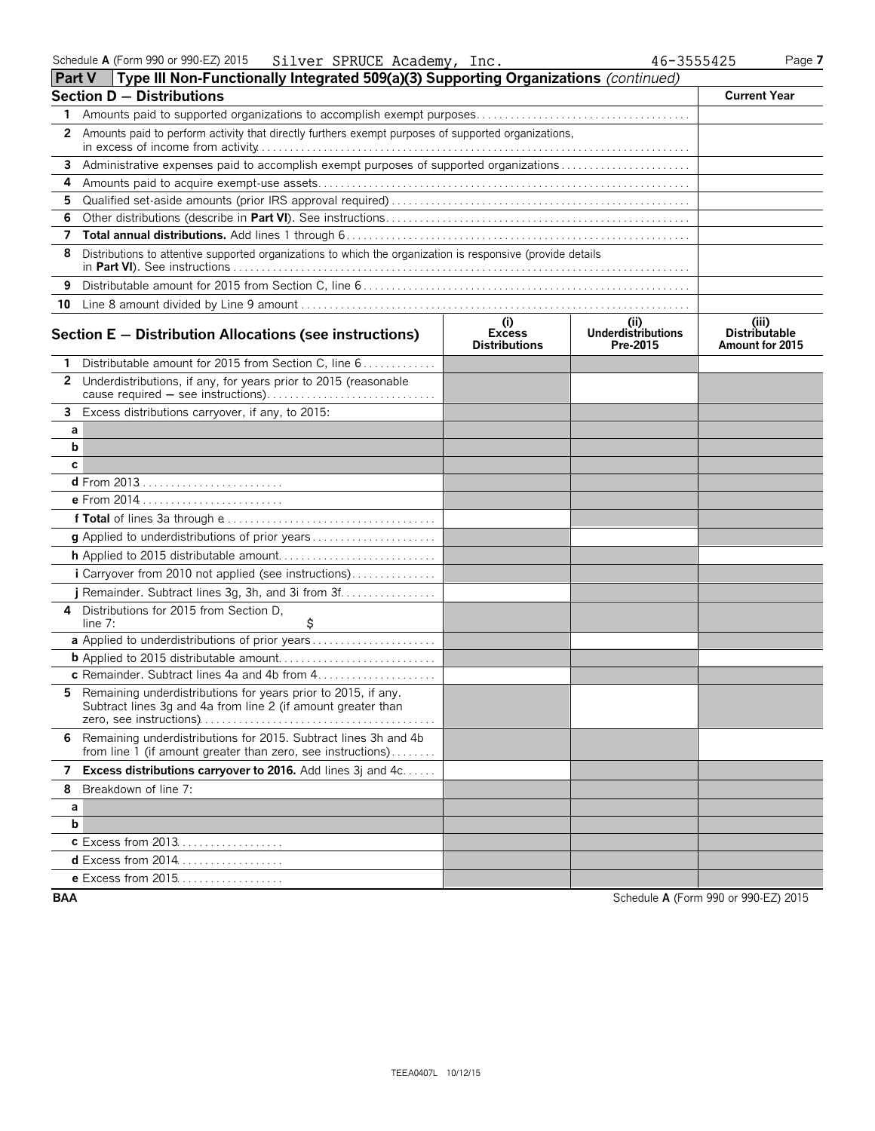| <b>Part V</b> | Type III Non-Functionally Integrated 509(a)(3) Supporting Organizations (continued)                                            |                                              |                                              |                                                  |
|---------------|--------------------------------------------------------------------------------------------------------------------------------|----------------------------------------------|----------------------------------------------|--------------------------------------------------|
|               | <b>Section D - Distributions</b>                                                                                               |                                              |                                              | <b>Current Year</b>                              |
| 1             |                                                                                                                                |                                              |                                              |                                                  |
| 2             | Amounts paid to perform activity that directly furthers exempt purposes of supported organizations,                            |                                              |                                              |                                                  |
| 3             | Administrative expenses paid to accomplish exempt purposes of supported organizations                                          |                                              |                                              |                                                  |
| 4             |                                                                                                                                |                                              |                                              |                                                  |
| 5.            |                                                                                                                                |                                              |                                              |                                                  |
| 6             |                                                                                                                                |                                              |                                              |                                                  |
|               |                                                                                                                                |                                              |                                              |                                                  |
| 8             | Distributions to attentive supported organizations to which the organization is responsive (provide details                    |                                              |                                              |                                                  |
| 9             |                                                                                                                                |                                              |                                              |                                                  |
|               |                                                                                                                                |                                              |                                              |                                                  |
|               | Section $E -$ Distribution Allocations (see instructions)                                                                      | (i)<br><b>Excess</b><br><b>Distributions</b> | (i)<br><b>Underdistributions</b><br>Pre-2015 | (iii)<br><b>Distributable</b><br>Amount for 2015 |
|               | Distributable amount for 2015 from Section C, line 6                                                                           |                                              |                                              |                                                  |
| $\mathbf{2}$  | Underdistributions, if any, for years prior to 2015 (reasonable                                                                |                                              |                                              |                                                  |
|               | 3 Excess distributions carryover, if any, to 2015:                                                                             |                                              |                                              |                                                  |
| а             |                                                                                                                                |                                              |                                              |                                                  |
| b             |                                                                                                                                |                                              |                                              |                                                  |
| c             |                                                                                                                                |                                              |                                              |                                                  |
|               |                                                                                                                                |                                              |                                              |                                                  |
|               | e From 2014                                                                                                                    |                                              |                                              |                                                  |
|               |                                                                                                                                |                                              |                                              |                                                  |
|               |                                                                                                                                |                                              |                                              |                                                  |
|               |                                                                                                                                |                                              |                                              |                                                  |
|               | i Carryover from 2010 not applied (see instructions)                                                                           |                                              |                                              |                                                  |
|               | j Remainder. Subtract lines 3g, 3h, and 3i from 3f                                                                             |                                              |                                              |                                                  |
| 4             | Distributions for 2015 from Section D.<br>\$<br>line $7:$                                                                      |                                              |                                              |                                                  |
|               | a Applied to underdistributions of prior years                                                                                 |                                              |                                              |                                                  |
|               |                                                                                                                                |                                              |                                              |                                                  |
|               | c Remainder. Subtract lines 4a and 4b from 4                                                                                   |                                              |                                              |                                                  |
| 5.            | Remaining underdistributions for years prior to 2015, if any.<br>Subtract lines 3g and 4a from line 2 (if amount greater than  |                                              |                                              |                                                  |
| 6             | Remaining underdistributions for 2015. Subtract lines 3h and 4b<br>from line 1 (if amount greater than zero, see instructions) |                                              |                                              |                                                  |
| 7             | Excess distributions carryover to 2016. Add lines 3j and 4c                                                                    |                                              |                                              |                                                  |
| 8             | Breakdown of line 7:                                                                                                           |                                              |                                              |                                                  |
| а             |                                                                                                                                |                                              |                                              |                                                  |
| b             |                                                                                                                                |                                              |                                              |                                                  |
|               | <b>c</b> Excess from 2013                                                                                                      |                                              |                                              |                                                  |
|               | <b>d</b> Excess from 2014                                                                                                      |                                              |                                              |                                                  |
|               | e Excess from 2015                                                                                                             |                                              |                                              |                                                  |
| <b>BAA</b>    |                                                                                                                                |                                              |                                              | Schedule A (Form 990 or 990-EZ) 2015             |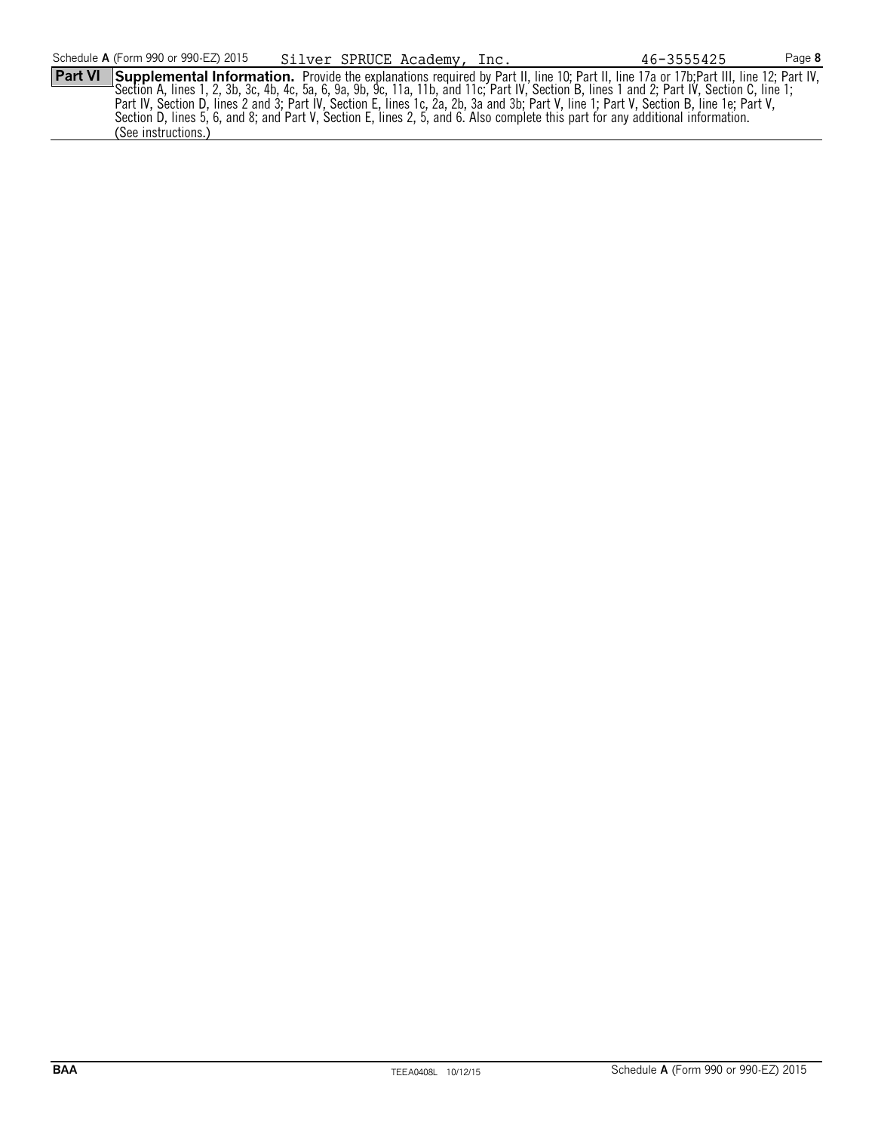**Part VI** Supplemental Information. Provide the explanations required by Part II, line 10; Part II, line 17a or 17b; Part III, line 12; Part IV, Section A, lines 1, 2, 3b, 3c, 4b, 4c, 5a, 6, 9a, 9b, 9c, 11a, 11b, and 11c; Part IV, Section B, lines 1 and 2; Part IV, Section C, line 1; Part IV, Section D, lines 2 and 3; Part IV, Section E, lines 1c, 2a, 2b, 3a and 3b; Part V, line 1; Part V, Section B, line 1e; Part V, Section D, lines 5, 6, and 8; and Part V, Section E, lines 2, 5, and 6. Also complete this part for any additional information. (See instructions.)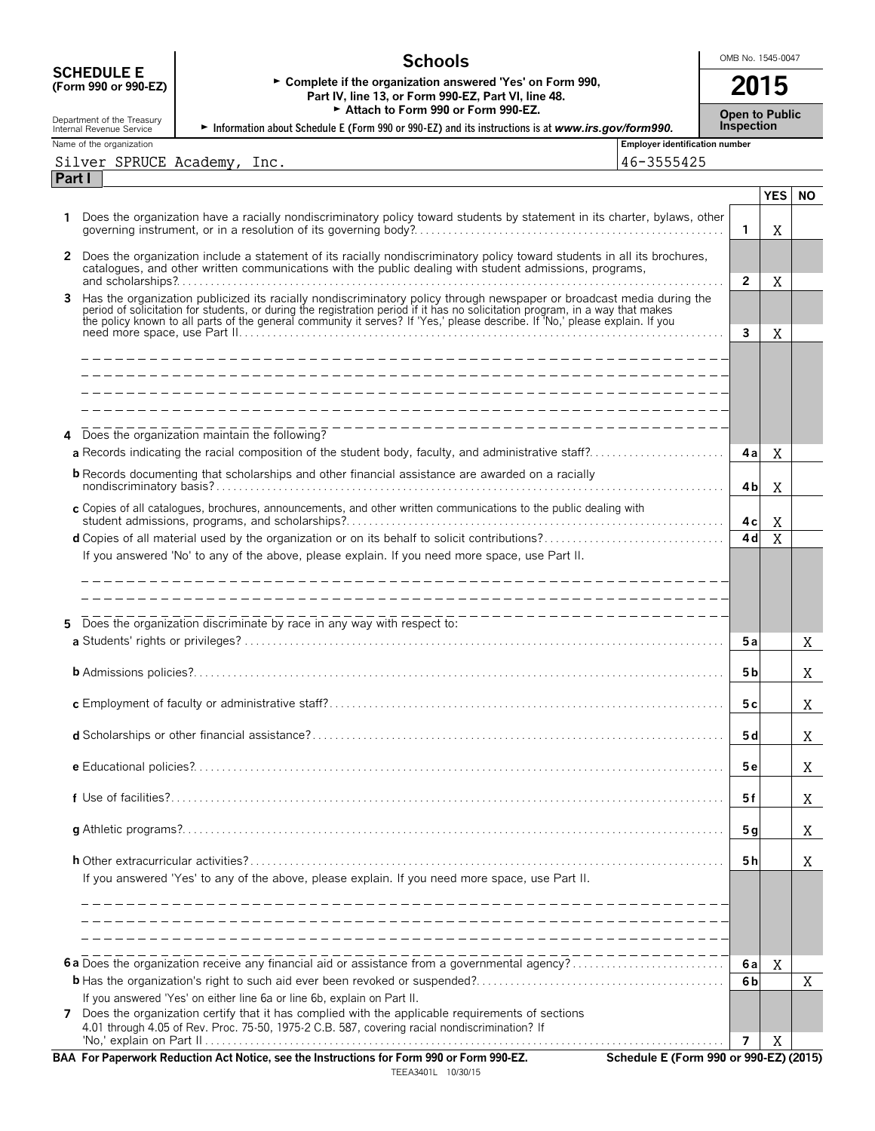|                                                        | <b>Schools</b>                                                                                                                                                                                                                      |                                       | OMB No. 1545-0047 |                                            |            |           |  |  |
|--------------------------------------------------------|-------------------------------------------------------------------------------------------------------------------------------------------------------------------------------------------------------------------------------------|---------------------------------------|-------------------|--------------------------------------------|------------|-----------|--|--|
| <b>SCHEDULE E</b><br>(Form 990 or 990-EZ)              | ► Complete if the organization answered 'Yes' on Form 990,<br>Part IV, line 13, or Form 990-EZ, Part VI, line 48.<br>Attach to Form 990 or Form 990-EZ.                                                                             |                                       |                   | 2015                                       |            |           |  |  |
| Department of the Treasury<br>Internal Revenue Service | Information about Schedule E (Form 990 or 990-EZ) and its instructions is at www.irs.gov/form990.                                                                                                                                   |                                       |                   | <b>Open to Public</b><br><b>Inspection</b> |            |           |  |  |
| Name of the organization                               |                                                                                                                                                                                                                                     | <b>Employer identification number</b> |                   |                                            |            |           |  |  |
| Silver SPRUCE Academy, Inc.<br>Part I                  |                                                                                                                                                                                                                                     | 46-3555425                            |                   |                                            |            |           |  |  |
|                                                        |                                                                                                                                                                                                                                     |                                       |                   |                                            | <b>YES</b> | <b>NO</b> |  |  |
| 1.                                                     | Does the organization have a racially nondiscriminatory policy toward students by statement in its charter, bylaws, other                                                                                                           |                                       |                   | $\mathbf{1}$                               | Χ          |           |  |  |
| $\mathbf{2}$                                           | Does the organization include a statement of its racially nondiscriminatory policy toward students in all its brochures,<br>catalogues, and other written communications with the public dealing with student admissions, programs, |                                       |                   |                                            |            |           |  |  |
| 3                                                      |                                                                                                                                                                                                                                     |                                       |                   | $\overline{2}$                             | X          |           |  |  |
|                                                        | Has the organization publicized its racially nondiscriminatory policy through newspaper or broadcast media during the period of solicitation for students, or during the registration period if it has no solicitation program      |                                       |                   | $\mathbf{3}$                               | Χ          |           |  |  |
|                                                        |                                                                                                                                                                                                                                     |                                       |                   |                                            |            |           |  |  |
|                                                        |                                                                                                                                                                                                                                     |                                       |                   |                                            |            |           |  |  |
|                                                        | ----------------------------------                                                                                                                                                                                                  |                                       |                   |                                            |            |           |  |  |
| 4                                                      | Does the organization maintain the following?                                                                                                                                                                                       |                                       |                   | 4al                                        | X          |           |  |  |
|                                                        | <b>b</b> Records documenting that scholarships and other financial assistance are awarded on a racially                                                                                                                             |                                       |                   | 4b                                         | X          |           |  |  |
|                                                        | c Copies of all catalogues, brochures, announcements, and other written communications to the public dealing with                                                                                                                   |                                       |                   | 4 c l                                      | X          |           |  |  |
|                                                        |                                                                                                                                                                                                                                     |                                       |                   | 4d                                         | X          |           |  |  |
|                                                        | If you answered 'No' to any of the above, please explain. If you need more space, use Part II.                                                                                                                                      |                                       |                   |                                            |            |           |  |  |
|                                                        |                                                                                                                                                                                                                                     |                                       |                   |                                            |            |           |  |  |
|                                                        |                                                                                                                                                                                                                                     |                                       |                   |                                            |            |           |  |  |
| 5                                                      | Does the organization discriminate by race in any way with respect to:                                                                                                                                                              |                                       |                   | 5а                                         |            | X         |  |  |
|                                                        |                                                                                                                                                                                                                                     |                                       |                   | 5 b                                        |            |           |  |  |
|                                                        |                                                                                                                                                                                                                                     |                                       |                   |                                            |            | Χ         |  |  |
|                                                        |                                                                                                                                                                                                                                     |                                       |                   | 5 c                                        |            | Χ         |  |  |
|                                                        |                                                                                                                                                                                                                                     |                                       |                   | 5 d                                        |            | X         |  |  |
|                                                        |                                                                                                                                                                                                                                     |                                       |                   | 5е                                         |            | X         |  |  |
|                                                        |                                                                                                                                                                                                                                     |                                       |                   | 5f                                         |            | Χ         |  |  |
|                                                        |                                                                                                                                                                                                                                     |                                       |                   | 5 <sub>g</sub>                             |            | Χ         |  |  |
|                                                        |                                                                                                                                                                                                                                     |                                       |                   | 5 h                                        |            | Χ         |  |  |
|                                                        | If you answered 'Yes' to any of the above, please explain. If you need more space, use Part II.                                                                                                                                     |                                       |                   |                                            |            |           |  |  |
|                                                        |                                                                                                                                                                                                                                     |                                       |                   |                                            |            |           |  |  |
|                                                        |                                                                                                                                                                                                                                     |                                       |                   |                                            |            |           |  |  |
|                                                        | 6a Does the organization receive any financial aid or assistance from a governmental agency?                                                                                                                                        |                                       |                   | 6al                                        | Χ          |           |  |  |
|                                                        | If you answered 'Yes' on either line 6a or line 6b, explain on Part II.                                                                                                                                                             |                                       |                   | 6b                                         |            | Χ         |  |  |
| $7^{\circ}$                                            | Does the organization certify that it has complied with the applicable requirements of sections<br>4.01 through 4.05 of Rev. Proc. 75-50, 1975-2 C.B. 587, covering racial nondiscrimination? If                                    |                                       |                   |                                            |            |           |  |  |
|                                                        | $\mu$ . And that is a set that in the distribution of $\mu$ F can $000 \mu$ F can $000 \text{ F}$                                                                                                                                   |                                       |                   | 7                                          | Χ          |           |  |  |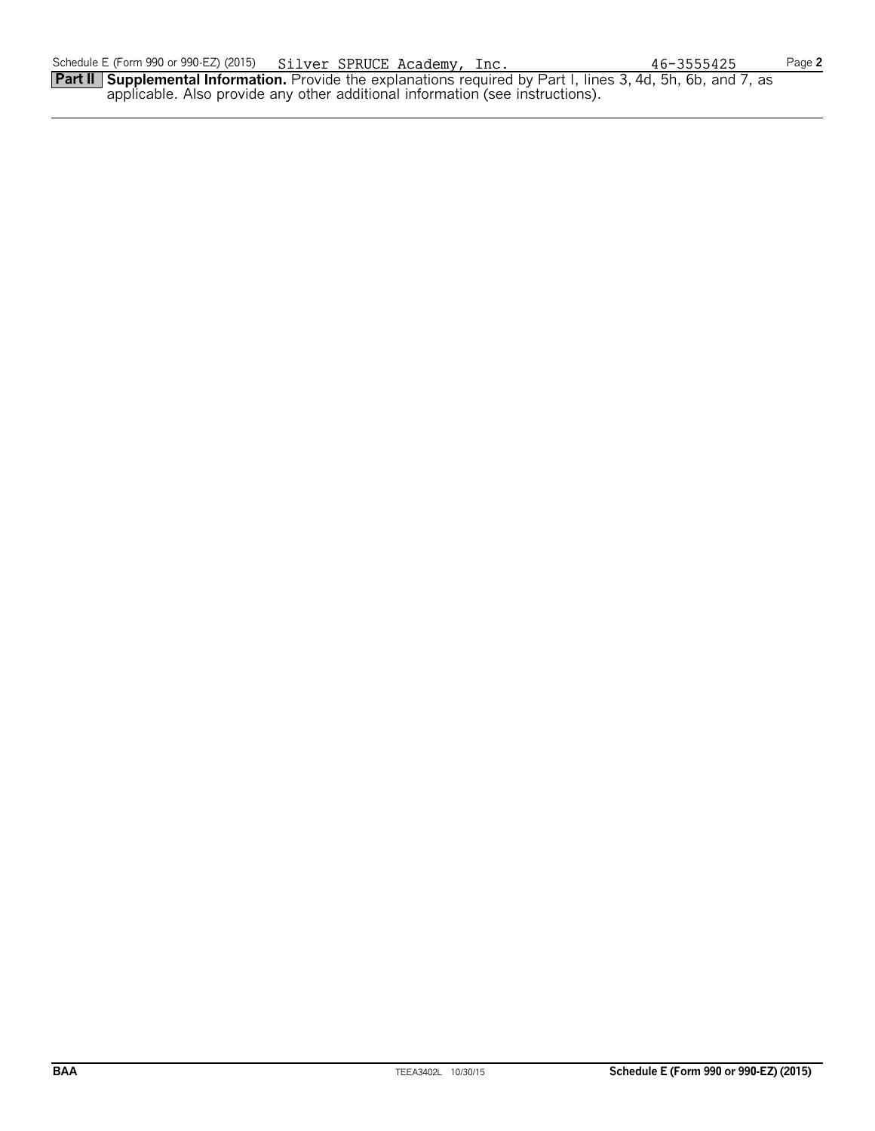**Part II Supplemental Information.** Provide the explanations required by Part I, lines 3, 4d, 5h, 6b, and 7, as applicable. Also provide any other additional information (see instructions).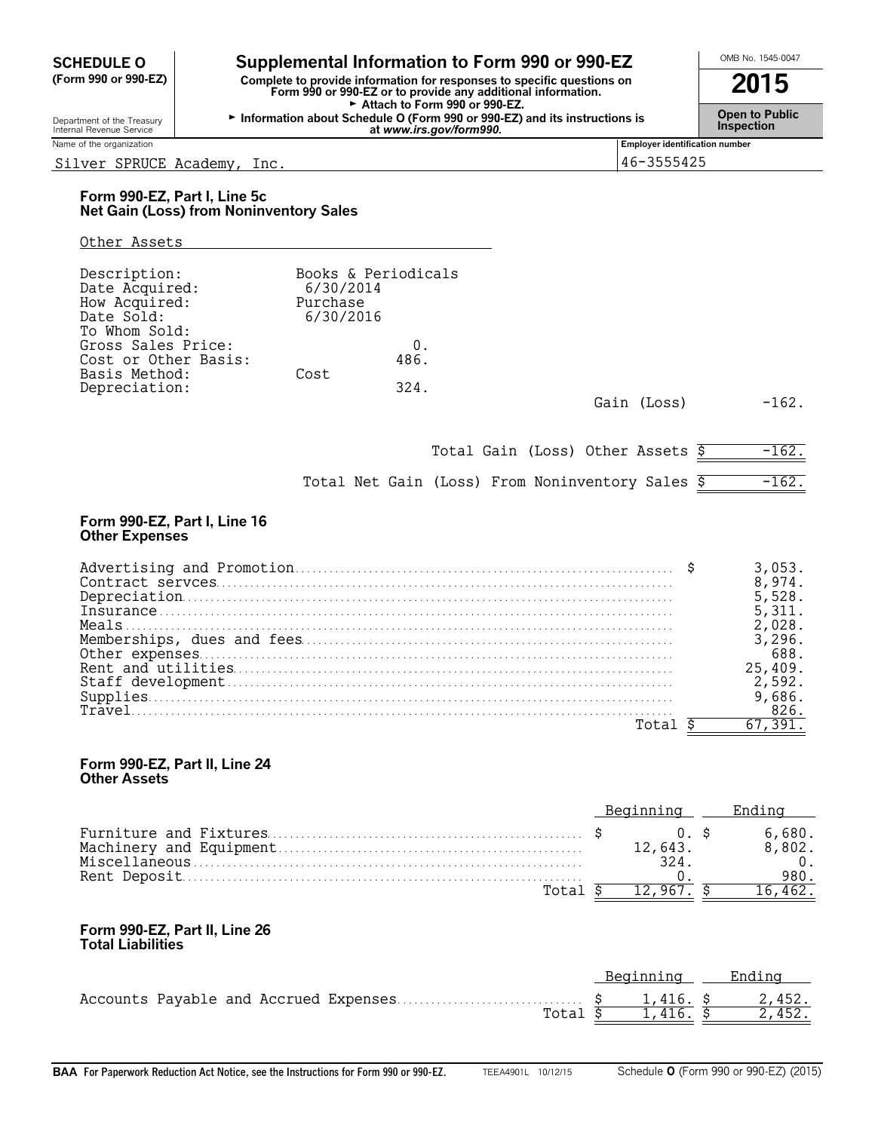**SCHEDULE O Supplemental Information to Form 990 or 990-EZ**  $\frac{\text{OMB No. 1545-0047}}{\text{Com 990 or 990-EZ}}$  **Complete to provide information for responses to specific questions on (Form 990 or 990-EZ) Complete to provide information for responses to specific questions on Form 990 or 990-EZ or to provide any additional information. 2015** Attach to Form 990 or 990-EZ. Gopartment of the Treasury **Information about Schedule O (Form 990 or 990-EZ) and its instructions is**<br>Internal Revenue Service<br>at www.irs.gov/form990.

Internal Revenue Service **Inspection Controller Controller Controller Controller Controller Service** *at www.irs.gov/form990.***<br>
Name of the organization** 

#### Silver SPRUCE Academy, Inc. 46-3555425

## **Form 990-EZ, Part I, Line 5c Net Gain (Loss) from Noninventory Sales**

#### Other Assets

| Description:<br>Date Acquired:<br>How Acquired:<br>Date Sold:<br>To Whom Sold: | Books & Periodicals<br>6/30/2014<br>Purchase<br>6/30/2016 |            |             |         |
|--------------------------------------------------------------------------------|-----------------------------------------------------------|------------|-------------|---------|
| Gross Sales Price:<br>Cost or Other Basis:<br>Basis Method:                    | Cost                                                      | 0.<br>486. |             |         |
| Depreciation:                                                                  |                                                           | 324.       | Gain (Loss) | $-162.$ |

Total Gain (Loss) Other Assets  $\frac{2}{5}$  -162.

**Employer identification number** 

|  |  | Total Net Gain (Loss) From Noninventory Sales \$ |  | $-162.$ |
|--|--|--------------------------------------------------|--|---------|
|  |  |                                                  |  |         |

#### **Form 990-EZ, Part I, Line 16 Other Expenses**

|  | 8,974.      |
|--|-------------|
|  | 5,528.      |
|  | 5.311.      |
|  | 2.028.      |
|  | $\cdot$ 296 |
|  | 688.        |
|  | 25,409.     |
|  | 2.592.      |
|  |             |
|  | 826.        |
|  |             |

#### **Form 990-EZ, Part II, Line 24 Other Assets**

|  | 12.643. |  | 6.680.<br>8.802. |
|--|---------|--|------------------|
|  |         |  |                  |
|  |         |  |                  |

#### **Form 990-EZ, Part II, Line 26 Total Liabilities**

|  | Beainnina Endina  |        |
|--|-------------------|--------|
|  |                   |        |
|  | Total \$1,416. \$ | 2,452. |